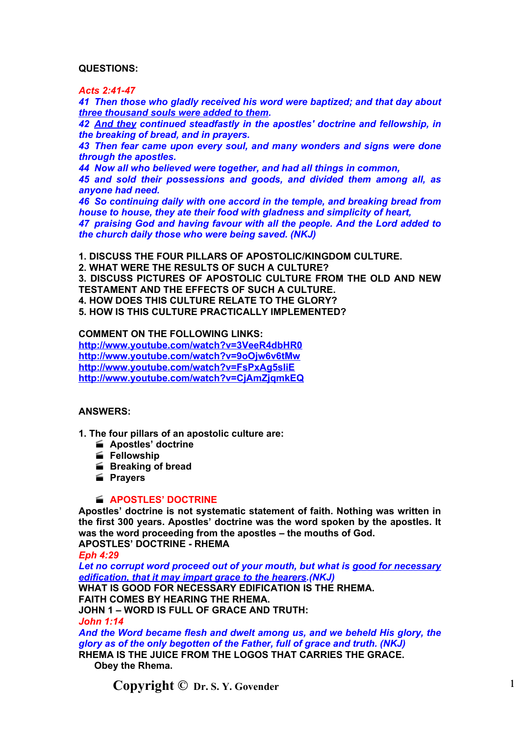# **QUESTIONS:**

*Acts 2:41-47*

*41 Then those who gladly received his word were baptized; and that day about three thousand souls were added to them.*

*42 And they continued steadfastly in the apostles' doctrine and fellowship, in the breaking of bread, and in prayers.*

*43 Then fear came upon every soul, and many wonders and signs were done through the apostles.*

*44 Now all who believed were together, and had all things in common,*

*45 and sold their possessions and goods, and divided them among all, as anyone had need.*

*46 So continuing daily with one accord in the temple, and breaking bread from house to house, they ate their food with gladness and simplicity of heart,*

*47 praising God and having favour with all the people. And the Lord added to the church daily those who were being saved. (NKJ)*

**1. DISCUSS THE FOUR PILLARS OF APOSTOLIC/KINGDOM CULTURE.**

**2. WHAT WERE THE RESULTS OF SUCH A CULTURE?**

**3. DISCUSS PICTURES OF APOSTOLIC CULTURE FROM THE OLD AND NEW TESTAMENT AND THE EFFECTS OF SUCH A CULTURE.**

**4. HOW DOES THIS CULTURE RELATE TO THE GLORY?**

**5. HOW IS THIS CULTURE PRACTICALLY IMPLEMENTED?**

**COMMENT ON THE FOLLOWING LINKS:**

**<http://www.youtube.com/watch?v=3VeeR4dbHR0> <http://www.youtube.com/watch?v=9oOjw6v6tMw> <http://www.youtube.com/watch?v=FsPxAg5sliE> <http://www.youtube.com/watch?v=CjAmZjqmkEQ>**

# **ANSWERS:**

**1. The four pillars of an apostolic culture are:**

- **Apostles' doctrine**
- **Fellowship**
- **Breaking of bread**
- **Prayers**

### **APOSTLES' DOCTRINE**

**Apostles' doctrine is not systematic statement of faith. Nothing was written in the first 300 years. Apostles' doctrine was the word spoken by the apostles. It was the word proceeding from the apostles – the mouths of God. APOSTLES' DOCTRINE - RHEMA**

*Eph 4:29*

*Let no corrupt word proceed out of your mouth, but what is good for necessary edification, that it may impart grace to the hearers.(NKJ)* **WHAT IS GOOD FOR NECESSARY EDIFICATION IS THE RHEMA. FAITH COMES BY HEARING THE RHEMA. JOHN 1 – WORD IS FULL OF GRACE AND TRUTH:** *John 1:14 And the Word became flesh and dwelt among us, and we beheld His glory, the glory as of the only begotten of the Father, full of grace and truth. (NKJ)*

**RHEMA IS THE JUICE FROM THE LOGOS THAT CARRIES THE GRACE. Obey the Rhema.**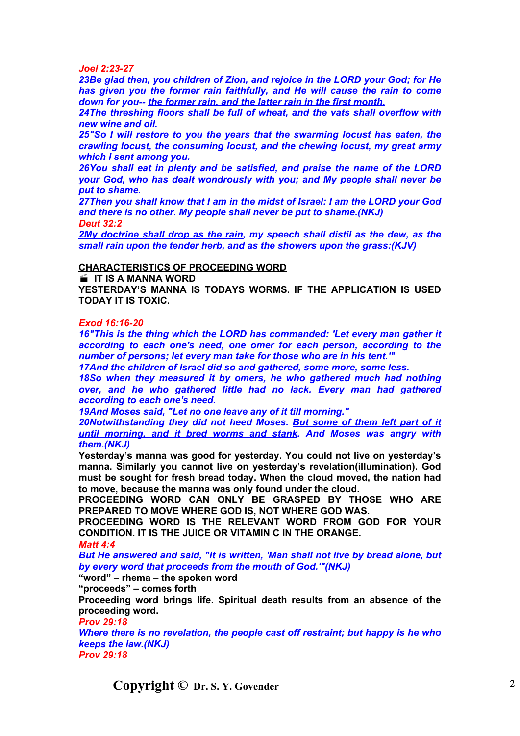#### *Joel 2:23-27*

*23Be glad then, you children of Zion, and rejoice in the LORD your God; for He has given you the former rain faithfully, and He will cause the rain to come down for you-- the former rain, and the latter rain in the first month.*

*24The threshing floors shall be full of wheat, and the vats shall overflow with new wine and oil.*

*25"So I will restore to you the years that the swarming locust has eaten, the crawling locust, the consuming locust, and the chewing locust, my great army which I sent among you.*

*26You shall eat in plenty and be satisfied, and praise the name of the LORD your God, who has dealt wondrously with you; and My people shall never be put to shame.*

*27Then you shall know that I am in the midst of Israel: I am the LORD your God and there is no other. My people shall never be put to shame.(NKJ) Deut 32:2*

*2My doctrine shall drop as the rain, my speech shall distil as the dew, as the small rain upon the tender herb, and as the showers upon the grass:(KJV)*

#### **CHARACTERISTICS OF PROCEEDING WORD**

**IF IS A MANNA WORD** 

**YESTERDAY'S MANNA IS TODAYS WORMS. IF THE APPLICATION IS USED TODAY IT IS TOXIC.**

# *Exod 16:16-20*

*16"This is the thing which the LORD has commanded: 'Let every man gather it according to each one's need, one omer for each person, according to the number of persons; let every man take for those who are in his tent.'"*

*17And the children of Israel did so and gathered, some more, some less.*

*18So when they measured it by omers, he who gathered much had nothing over, and he who gathered little had no lack. Every man had gathered according to each one's need.*

*19And Moses said, "Let no one leave any of it till morning."*

*20Notwithstanding they did not heed Moses. But some of them left part of it until morning, and it bred worms and stank. And Moses was angry with them.(NKJ)*

**Yesterday's manna was good for yesterday. You could not live on yesterday's manna. Similarly you cannot live on yesterday's revelation(illumination). God must be sought for fresh bread today. When the cloud moved, the nation had to move, because the manna was only found under the cloud.**

**PROCEEDING WORD CAN ONLY BE GRASPED BY THOSE WHO ARE PREPARED TO MOVE WHERE GOD IS, NOT WHERE GOD WAS.**

**PROCEEDING WORD IS THE RELEVANT WORD FROM GOD FOR YOUR CONDITION. IT IS THE JUICE OR VITAMIN C IN THE ORANGE.**

#### *Matt 4:4*

*But He answered and said, "It is written, 'Man shall not live by bread alone, but by every word that proceeds from the mouth of God.'"(NKJ)*

**"word" – rhema – the spoken word**

**"proceeds" – comes forth**

**Proceeding word brings life. Spiritual death results from an absence of the proceeding word.**

#### *Prov 29:18*

*Where there is no revelation, the people cast off restraint; but happy is he who keeps the law.(NKJ) Prov 29:18*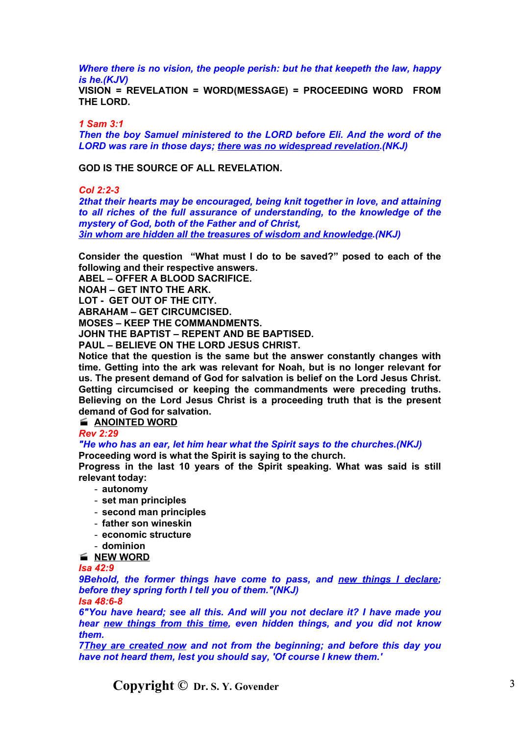*Where there is no vision, the people perish: but he that keepeth the law, happy is he.(KJV)*

**VISION = REVELATION = WORD(MESSAGE) = PROCEEDING WORD FROM THE LORD.**

*1 Sam 3:1*

*Then the boy Samuel ministered to the LORD before Eli. And the word of the LORD was rare in those days; there was no widespread revelation.(NKJ)*

**GOD IS THE SOURCE OF ALL REVELATION.**

#### *Col 2:2-3*

*2that their hearts may be encouraged, being knit together in love, and attaining to all riches of the full assurance of understanding, to the knowledge of the mystery of God, both of the Father and of Christ, 3in whom are hidden all the treasures of wisdom and knowledge.(NKJ)*

**Consider the question "What must I do to be saved?" posed to each of the following and their respective answers.**

**ABEL – OFFER A BLOOD SACRIFICE.**

**NOAH – GET INTO THE ARK.**

**LOT - GET OUT OF THE CITY.**

**ABRAHAM – GET CIRCUMCISED.**

**MOSES – KEEP THE COMMANDMENTS.**

**JOHN THE BAPTIST – REPENT AND BE BAPTISED.**

**PAUL – BELIEVE ON THE LORD JESUS CHRIST.**

**Notice that the question is the same but the answer constantly changes with time. Getting into the ark was relevant for Noah, but is no longer relevant for us. The present demand of God for salvation is belief on the Lord Jesus Christ. Getting circumcised or keeping the commandments were preceding truths. Believing on the Lord Jesus Christ is a proceeding truth that is the present demand of God for salvation.**

# **ANOINTED WORD**

*Rev 2:29*

*"He who has an ear, let him hear what the Spirit says to the churches.(NKJ)*

**Proceeding word is what the Spirit is saying to the church.**

**Progress in the last 10 years of the Spirit speaking. What was said is still relevant today:**

- **autonomy**
- **set man principles**
- **second man principles**
- **father son wineskin**
- **economic structure**
- **dominion**

# **NEW WORD**

*Isa 42:9*

*9Behold, the former things have come to pass, and new things I declare; before they spring forth I tell you of them."(NKJ)*

*Isa 48:6-8*

*6"You have heard; see all this. And will you not declare it? I have made you hear new things from this time, even hidden things, and you did not know them.*

*7They are created now and not from the beginning; and before this day you have not heard them, lest you should say, 'Of course I knew them.'*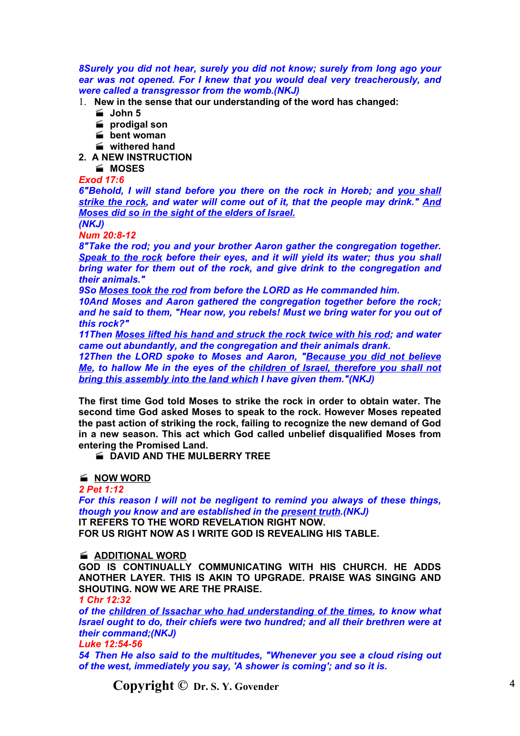*8Surely you did not hear, surely you did not know; surely from long ago your ear was not opened. For I knew that you would deal very treacherously, and were called a transgressor from the womb.(NKJ)*

1. **New in the sense that our understanding of the word has changed:**

- **John 5**
- **prodigal son**
- **bent woman**
- **withered hand**
- **2. A NEW INSTRUCTION**
	- **MOSES**

*Exod 17:6*

*6"Behold, I will stand before you there on the rock in Horeb; and you shall strike the rock, and water will come out of it, that the people may drink." And Moses did so in the sight of the elders of Israel.*

*(NKJ)*

*Num 20:8-12*

*8"Take the rod; you and your brother Aaron gather the congregation together. Speak to the rock before their eyes, and it will yield its water; thus you shall bring water for them out of the rock, and give drink to the congregation and their animals."*

*9So Moses took the rod from before the LORD as He commanded him.*

*10And Moses and Aaron gathered the congregation together before the rock; and he said to them, "Hear now, you rebels! Must we bring water for you out of this rock?"*

*11Then Moses lifted his hand and struck the rock twice with his rod; and water came out abundantly, and the congregation and their animals drank.*

*12Then the LORD spoke to Moses and Aaron, "Because you did not believe Me, to hallow Me in the eyes of the children of Israel, therefore you shall not bring this assembly into the land which I have given them."(NKJ)*

**The first time God told Moses to strike the rock in order to obtain water. The second time God asked Moses to speak to the rock. However Moses repeated the past action of striking the rock, failing to recognize the new demand of God in a new season. This act which God called unbelief disqualified Moses from entering the Promised Land.**

**E DAVID AND THE MULBERRY TREE** 

**NOW WORD**

*2 Pet 1:12*

*For this reason I will not be negligent to remind you always of these things, though you know and are established in the present truth.(NKJ)*

**IT REFERS TO THE WORD REVELATION RIGHT NOW. FOR US RIGHT NOW AS I WRITE GOD IS REVEALING HIS TABLE.**

### **ADDITIONAL WORD**

**GOD IS CONTINUALLY COMMUNICATING WITH HIS CHURCH. HE ADDS ANOTHER LAYER. THIS IS AKIN TO UPGRADE. PRAISE WAS SINGING AND SHOUTING. NOW WE ARE THE PRAISE.**

*1 Chr 12:32*

*of the children of Issachar who had understanding of the times, to know what Israel ought to do, their chiefs were two hundred; and all their brethren were at their command;(NKJ)*

*Luke 12:54-56*

*54 Then He also said to the multitudes, "Whenever you see a cloud rising out of the west, immediately you say, 'A shower is coming'; and so it is.*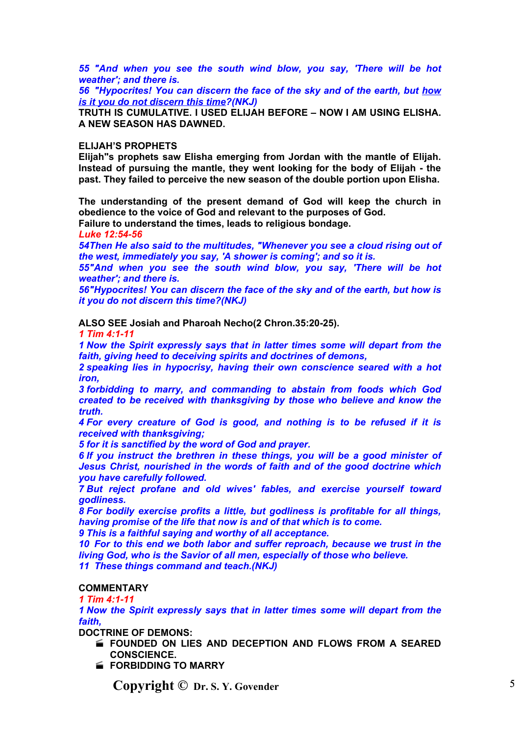*55 "And when you see the south wind blow, you say, 'There will be hot weather'; and there is.*

*56 "Hypocrites! You can discern the face of the sky and of the earth, but how is it you do not discern this time?(NKJ)*

**TRUTH IS CUMULATIVE. I USED ELIJAH BEFORE – NOW I AM USING ELISHA. A NEW SEASON HAS DAWNED.**

#### **ELIJAH'S PROPHETS**

**Elijah"s prophets saw Elisha emerging from Jordan with the mantle of Elijah. Instead of pursuing the mantle, they went looking for the body of Elijah - the past. They failed to perceive the new season of the double portion upon Elisha.**

**The understanding of the present demand of God will keep the church in obedience to the voice of God and relevant to the purposes of God. Failure to understand the times, leads to religious bondage.**

*Luke 12:54-56*

*54Then He also said to the multitudes, "Whenever you see a cloud rising out of the west, immediately you say, 'A shower is coming'; and so it is.*

*55"And when you see the south wind blow, you say, 'There will be hot weather'; and there is.*

*56"Hypocrites! You can discern the face of the sky and of the earth, but how is it you do not discern this time?(NKJ)*

**ALSO SEE Josiah and Pharoah Necho(2 Chron.35:20-25).**

*1 Tim 4:1-11*

*1 Now the Spirit expressly says that in latter times some will depart from the faith, giving heed to deceiving spirits and doctrines of demons,*

*2 speaking lies in hypocrisy, having their own conscience seared with a hot iron,*

*3 forbidding to marry, and commanding to abstain from foods which God created to be received with thanksgiving by those who believe and know the truth.*

*4 For every creature of God is good, and nothing is to be refused if it is received with thanksgiving;*

*5 for it is sanctified by the word of God and prayer.*

*6 If you instruct the brethren in these things, you will be a good minister of Jesus Christ, nourished in the words of faith and of the good doctrine which you have carefully followed.*

*7 But reject profane and old wives' fables, and exercise yourself toward godliness.*

*8 For bodily exercise profits a little, but godliness is profitable for all things, having promise of the life that now is and of that which is to come.*

*9 This is a faithful saying and worthy of all acceptance.*

*10 For to this end we both labor and suffer reproach, because we trust in the living God, who is the Savior of all men, especially of those who believe. 11 These things command and teach.(NKJ)*

### **COMMENTARY**

*1 Tim 4:1-11*

*1 Now the Spirit expressly says that in latter times some will depart from the faith,*

**DOCTRINE OF DEMONS:**

- **FOUNDED ON LIES AND DECEPTION AND FLOWS FROM A SEARED CONSCIENCE.**
- **FORBIDDING TO MARRY**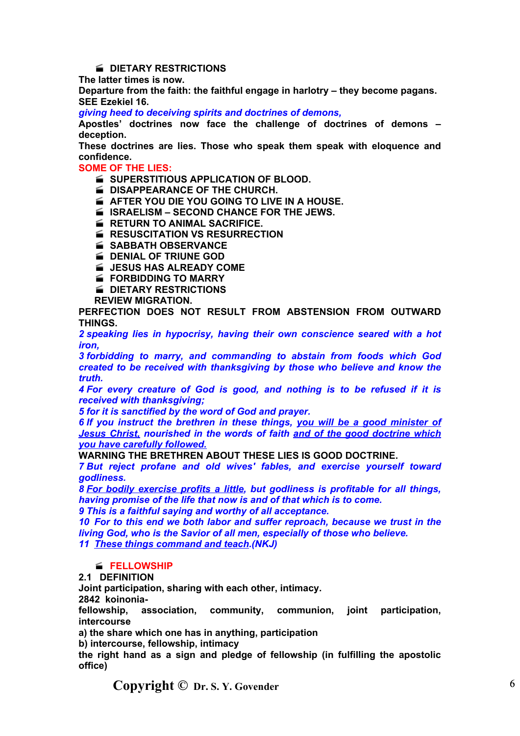# **E** DIETARY RESTRICTIONS

**The latter times is now.**

**Departure from the faith: the faithful engage in harlotry – they become pagans. SEE Ezekiel 16.**

*giving heed to deceiving spirits and doctrines of demons,*

**Apostles' doctrines now face the challenge of doctrines of demons – deception.**

**These doctrines are lies. Those who speak them speak with eloquence and confidence.**

**SOME OF THE LIES:**

**SUPERSTITIOUS APPLICATION OF BLOOD.** 

**E DISAPPEARANCE OF THE CHURCH.** 

**AFTER YOU DIE YOU GOING TO LIVE IN A HOUSE.** 

**ISRAELISM – SECOND CHANCE FOR THE JEWS.** 

- **EXAMPLE RETURN TO ANIMAL SACRIFICE.**
- *K* RESUSCITATION VS RESURRECTION
- **SABBATH OBSERVANCE**
- **E** DENIAL OF TRIUNE GOD

**EXTERNAL JESUS HAS ALREADY COME** 

- **FORBIDDING TO MARRY**
- **E** DIETARY RESTRICTIONS

**REVIEW MIGRATION.**

**PERFECTION DOES NOT RESULT FROM ABSTENSION FROM OUTWARD THINGS.**

*2 speaking lies in hypocrisy, having their own conscience seared with a hot iron,*

*3 forbidding to marry, and commanding to abstain from foods which God created to be received with thanksgiving by those who believe and know the truth.*

*4 For every creature of God is good, and nothing is to be refused if it is received with thanksgiving;*

*5 for it is sanctified by the word of God and prayer.*

*6 If you instruct the brethren in these things, you will be a good minister of Jesus Christ, nourished in the words of faith and of the good doctrine which you have carefully followed.*

**WARNING THE BRETHREN ABOUT THESE LIES IS GOOD DOCTRINE.**

*7 But reject profane and old wives' fables, and exercise yourself toward godliness.*

*8 For bodily exercise profits a little, but godliness is profitable for all things, having promise of the life that now is and of that which is to come.*

*9 This is a faithful saying and worthy of all acceptance.*

*10 For to this end we both labor and suffer reproach, because we trust in the living God, who is the Savior of all men, especially of those who believe. 11 These things command and teach.(NKJ)*

### **FELLOWSHIP**

### **2.1 DEFINITION**

**Joint participation, sharing with each other, intimacy.**

**2842 koinonia-**

**fellowship, association, community, communion, joint participation, intercourse**

**a) the share which one has in anything, participation**

**b) intercourse, fellowship, intimacy**

**the right hand as a sign and pledge of fellowship (in fulfilling the apostolic office)**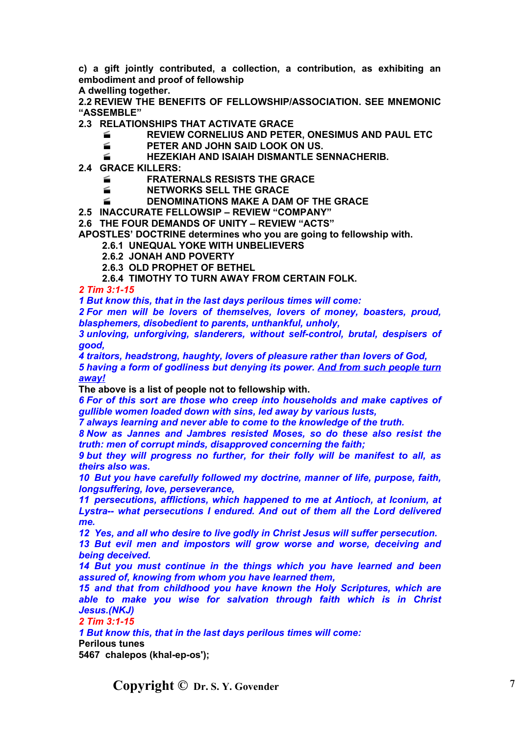**c) a gift jointly contributed, a collection, a contribution, as exhibiting an embodiment and proof of fellowship**

**A dwelling together.**

**2.2 REVIEW THE BENEFITS OF FELLOWSHIP/ASSOCIATION. SEE MNEMONIC "ASSEMBLE"**

**2.3 RELATIONSHIPS THAT ACTIVATE GRACE**

**REVIEW CORNELIUS AND PETER, ONESIMUS AND PAUL ETC**

**FIGURE AND JOHN SAID LOOK ON US.** 

**HEZEKIAH AND ISAIAH DISMANTLE SENNACHERIB.**

- **2.4 GRACE KILLERS:**
	- **FRATERNALS RESISTS THE GRACE**
	- **NETWORKS SELL THE GRACE**
	- **EXAMPLE A DENOMINATIONS MAKE A DAM OF THE GRACE**

**2.5 INACCURATE FELLOWSIP – REVIEW "COMPANY"**

**2.6 THE FOUR DEMANDS OF UNITY – REVIEW "ACTS"**

**APOSTLES' DOCTRINE determines who you are going to fellowship with.**

- **2.6.1 UNEQUAL YOKE WITH UNBELIEVERS**
- **2.6.2 JONAH AND POVERTY**
- **2.6.3 OLD PROPHET OF BETHEL**
- **2.6.4 TIMOTHY TO TURN AWAY FROM CERTAIN FOLK.**

*2 Tim 3:1-15*

*1 But know this, that in the last days perilous times will come:*

*2 For men will be lovers of themselves, lovers of money, boasters, proud, blasphemers, disobedient to parents, unthankful, unholy,*

*3 unloving, unforgiving, slanderers, without self-control, brutal, despisers of good,*

*4 traitors, headstrong, haughty, lovers of pleasure rather than lovers of God, 5 having a form of godliness but denying its power. And from such people turn away!*

**The above is a list of people not to fellowship with.**

*6 For of this sort are those who creep into households and make captives of gullible women loaded down with sins, led away by various lusts,*

*7 always learning and never able to come to the knowledge of the truth.*

*8 Now as Jannes and Jambres resisted Moses, so do these also resist the truth: men of corrupt minds, disapproved concerning the faith;*

*9 but they will progress no further, for their folly will be manifest to all, as theirs also was.*

*10 But you have carefully followed my doctrine, manner of life, purpose, faith, longsuffering, love, perseverance,*

*11 persecutions, afflictions, which happened to me at Antioch, at Iconium, at Lystra-- what persecutions I endured. And out of them all the Lord delivered me.*

*12 Yes, and all who desire to live godly in Christ Jesus will suffer persecution.*

*13 But evil men and impostors will grow worse and worse, deceiving and being deceived.*

*14 But you must continue in the things which you have learned and been assured of, knowing from whom you have learned them,*

*15 and that from childhood you have known the Holy Scriptures, which are able to make you wise for salvation through faith which is in Christ Jesus.(NKJ)*

*2 Tim 3:1-15*

*1 But know this, that in the last days perilous times will come:*

**Perilous tunes**

**5467 chalepos (khal-ep-os');**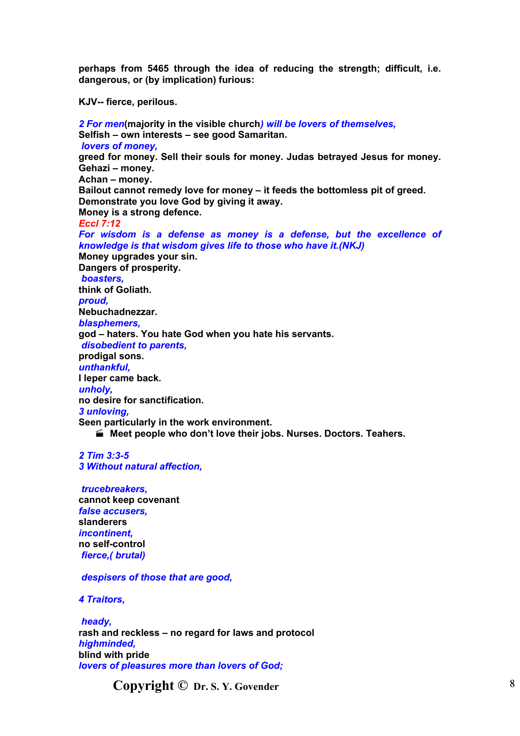**perhaps from 5465 through the idea of reducing the strength; difficult, i.e. dangerous, or (by implication) furious:**

**KJV-- fierce, perilous.**

*2 For men***(majority in the visible church***) will be lovers of themselves,* **Selfish – own interests – see good Samaritan.** *lovers of money,* **greed for money. Sell their souls for money. Judas betrayed Jesus for money. Gehazi – money. Achan – money. Bailout cannot remedy love for money – it feeds the bottomless pit of greed. Demonstrate you love God by giving it away. Money is a strong defence.** *Eccl 7:12 For wisdom is a defense as money is a defense, but the excellence of knowledge is that wisdom gives life to those who have it.(NKJ)* **Money upgrades your sin. Dangers of prosperity.** *boasters,* **think of Goliath.** *proud,* **Nebuchadnezzar.** *blasphemers,* **god – haters. You hate God when you hate his servants.** *disobedient to parents,* **prodigal sons.** *unthankful,* **I leper came back.** *unholy,* **no desire for sanctification.** *3 unloving,* **Seen particularly in the work environment. Meet people who don't love their jobs. Nurses. Doctors. Teahers.**

*2 Tim 3:3-5 3 Without natural affection,*

*trucebreakers,* **cannot keep covenant** *false accusers,* **slanderers** *incontinent,* **no self-control** *fierce,( brutal)*

### *despisers of those that are good,*

*4 Traitors,*

*heady,* **rash and reckless – no regard for laws and protocol** *highminded,* **blind with pride** *lovers of pleasures more than lovers of God;*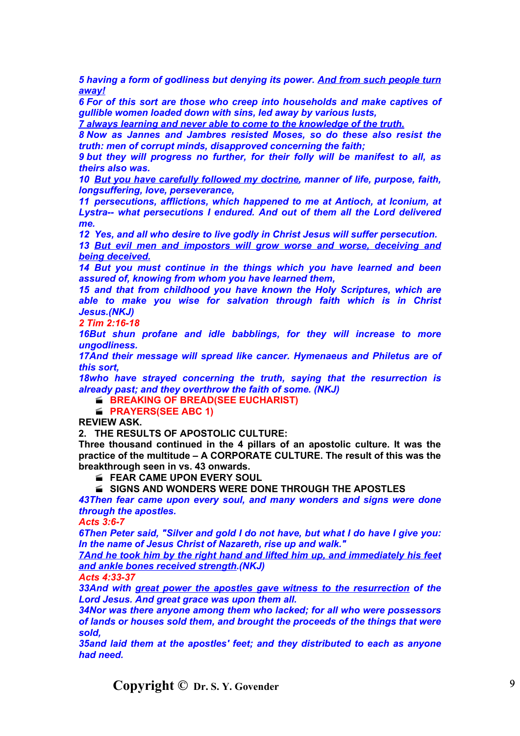*5 having a form of godliness but denying its power. And from such people turn away!*

*6 For of this sort are those who creep into households and make captives of gullible women loaded down with sins, led away by various lusts,*

*7 always learning and never able to come to the knowledge of the truth.*

*8 Now as Jannes and Jambres resisted Moses, so do these also resist the truth: men of corrupt minds, disapproved concerning the faith;*

*9 but they will progress no further, for their folly will be manifest to all, as theirs also was.*

*10 But you have carefully followed my doctrine, manner of life, purpose, faith, longsuffering, love, perseverance,*

*11 persecutions, afflictions, which happened to me at Antioch, at Iconium, at Lystra-- what persecutions I endured. And out of them all the Lord delivered me.*

*12 Yes, and all who desire to live godly in Christ Jesus will suffer persecution.*

*13 But evil men and impostors will grow worse and worse, deceiving and being deceived.*

*14 But you must continue in the things which you have learned and been assured of, knowing from whom you have learned them,*

*15 and that from childhood you have known the Holy Scriptures, which are able to make you wise for salvation through faith which is in Christ Jesus.(NKJ)*

*2 Tim 2:16-18*

*16But shun profane and idle babblings, for they will increase to more ungodliness.*

*17And their message will spread like cancer. Hymenaeus and Philetus are of this sort,*

*18who have strayed concerning the truth, saying that the resurrection is already past; and they overthrow the faith of some. (NKJ)*

**BREAKING OF BREAD(SEE EUCHARIST)** 

**PRAYERS(SEE ABC 1)** 

**REVIEW ASK.**

**2. THE RESULTS OF APOSTOLIC CULTURE:**

**Three thousand continued in the 4 pillars of an apostolic culture. It was the practice of the multitude – A CORPORATE CULTURE. The result of this was the breakthrough seen in vs. 43 onwards.**

**FEAR CAME UPON EVERY SOUL** 

**SIGNS AND WONDERS WERE DONE THROUGH THE APOSTLES**

*43Then fear came upon every soul, and many wonders and signs were done through the apostles.*

*Acts 3:6-7*

*6Then Peter said, "Silver and gold I do not have, but what I do have I give you: In the name of Jesus Christ of Nazareth, rise up and walk."*

*7And he took him by the right hand and lifted him up, and immediately his feet and ankle bones received strength.(NKJ)*

*Acts 4:33-37*

*33And with great power the apostles gave witness to the resurrection of the Lord Jesus. And great grace was upon them all.*

*34Nor was there anyone among them who lacked; for all who were possessors of lands or houses sold them, and brought the proceeds of the things that were sold,*

*35and laid them at the apostles' feet; and they distributed to each as anyone had need.*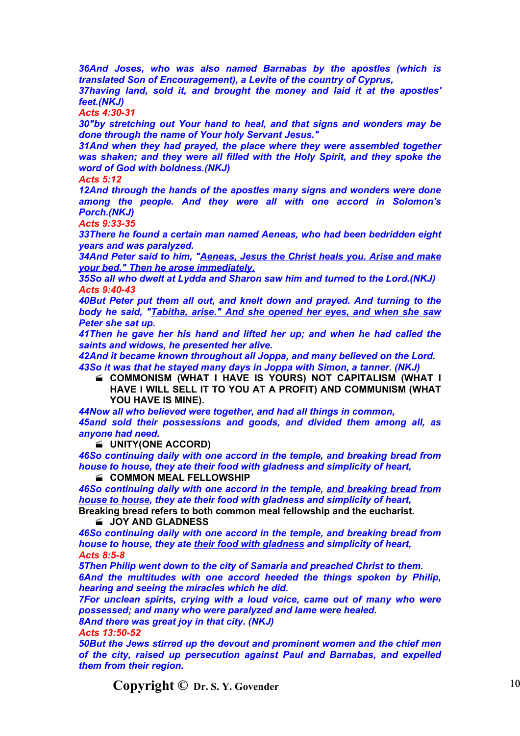*36And Joses, who was also named Barnabas by the apostles (which is translated Son of Encouragement), a Levite of the country of Cyprus,*

*37having land, sold it, and brought the money and laid it at the apostles' feet.(NKJ)*

*Acts 4:30-31*

*30"by stretching out Your hand to heal, and that signs and wonders may be done through the name of Your holy Servant Jesus."*

*31And when they had prayed, the place where they were assembled together was shaken; and they were all filled with the Holy Spirit, and they spoke the word of God with boldness.(NKJ)*

*Acts 5:12*

*12And through the hands of the apostles many signs and wonders were done among the people. And they were all with one accord in Solomon's Porch.(NKJ)*

*Acts 9:33-35*

*33There he found a certain man named Aeneas, who had been bedridden eight years and was paralyzed.*

*34And Peter said to him, "Aeneas, Jesus the Christ heals you. Arise and make your bed." Then he arose immediately.*

*35So all who dwelt at Lydda and Sharon saw him and turned to the Lord.(NKJ) Acts 9:40-43*

*40But Peter put them all out, and knelt down and prayed. And turning to the body he said, "Tabitha, arise." And she opened her eyes, and when she saw Peter she sat up.*

*41Then he gave her his hand and lifted her up; and when he had called the saints and widows, he presented her alive.*

*42And it became known throughout all Joppa, and many believed on the Lord. 43So it was that he stayed many days in Joppa with Simon, a tanner. (NKJ)*

 **COMMONISM (WHAT I HAVE IS YOURS) NOT CAPITALISM (WHAT I HAVE I WILL SELL IT TO YOU AT A PROFIT) AND COMMUNISM (WHAT YOU HAVE IS MINE).**

*44Now all who believed were together, and had all things in common, 45and sold their possessions and goods, and divided them among all, as anyone had need.*

**UNITY(ONE ACCORD)**

*46So continuing daily with one accord in the temple, and breaking bread from house to house, they ate their food with gladness and simplicity of heart,*

**COMMON MEAL FELLOWSHIP** 

*46So continuing daily with one accord in the temple, and breaking bread from house to house, they ate their food with gladness and simplicity of heart,* **Breaking bread refers to both common meal fellowship and the eucharist.**

**JOY AND GLADNESS** 

*46So continuing daily with one accord in the temple, and breaking bread from house to house, they ate their food with gladness and simplicity of heart, Acts 8:5-8*

*5Then Philip went down to the city of Samaria and preached Christ to them. 6And the multitudes with one accord heeded the things spoken by Philip, hearing and seeing the miracles which he did.*

*7For unclean spirits, crying with a loud voice, came out of many who were possessed; and many who were paralyzed and lame were healed.*

*8And there was great joy in that city. (NKJ)*

*Acts 13:50-52*

*50But the Jews stirred up the devout and prominent women and the chief men of the city, raised up persecution against Paul and Barnabas, and expelled them from their region.*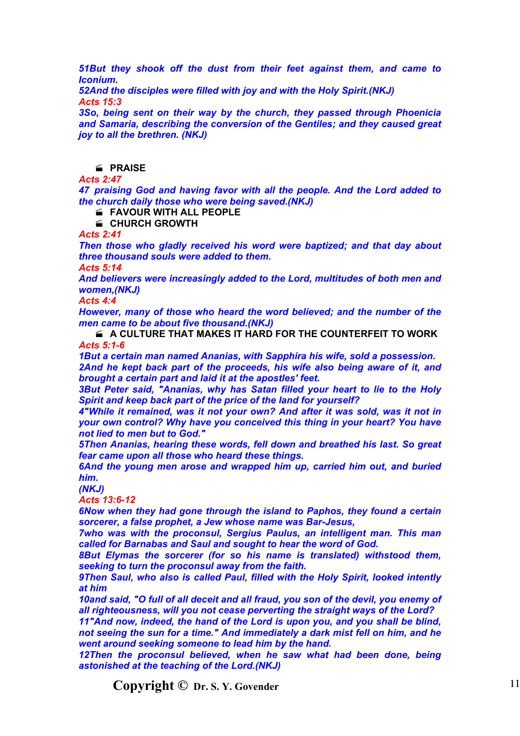*51But they shook off the dust from their feet against them, and came to Iconium.*

*52And the disciples were filled with joy and with the Holy Spirit.(NKJ) Acts 15:3*

*3So, being sent on their way by the church, they passed through Phoenicia and Samaria, describing the conversion of the Gentiles; and they caused great joy to all the brethren. (NKJ)*

**PRAISE**

*Acts 2:47*

*47 praising God and having favor with all the people. And the Lord added to the church daily those who were being saved.(NKJ)*

**FAVOUR WITH ALL PEOPLE**

**CHURCH GROWTH**

*Acts 2:41*

*Then those who gladly received his word were baptized; and that day about three thousand souls were added to them.*

*Acts 5:14*

*And believers were increasingly added to the Lord, multitudes of both men and women,(NKJ)*

*Acts 4:4*

*However, many of those who heard the word believed; and the number of the men came to be about five thousand.(NKJ)*

 **A CULTURE THAT MAKES IT HARD FOR THE COUNTERFEIT TO WORK** *Acts 5:1-6*

*1But a certain man named Ananias, with Sapphira his wife, sold a possession.*

*2And he kept back part of the proceeds, his wife also being aware of it, and brought a certain part and laid it at the apostles' feet.*

*3But Peter said, "Ananias, why has Satan filled your heart to lie to the Holy Spirit and keep back part of the price of the land for yourself?*

*4"While it remained, was it not your own? And after it was sold, was it not in your own control? Why have you conceived this thing in your heart? You have not lied to men but to God."*

*5Then Ananias, hearing these words, fell down and breathed his last. So great fear came upon all those who heard these things.*

*6And the young men arose and wrapped him up, carried him out, and buried him.*

*(NKJ)*

*Acts 13:6-12*

*6Now when they had gone through the island to Paphos, they found a certain sorcerer, a false prophet, a Jew whose name was Bar-Jesus,*

*7who was with the proconsul, Sergius Paulus, an intelligent man. This man called for Barnabas and Saul and sought to hear the word of God.*

*8But Elymas the sorcerer (for so his name is translated) withstood them, seeking to turn the proconsul away from the faith.*

*9Then Saul, who also is called Paul, filled with the Holy Spirit, looked intently at him*

*10and said, "O full of all deceit and all fraud, you son of the devil, you enemy of all righteousness, will you not cease perverting the straight ways of the Lord?*

*11"And now, indeed, the hand of the Lord is upon you, and you shall be blind, not seeing the sun for a time." And immediately a dark mist fell on him, and he went around seeking someone to lead him by the hand.*

*12Then the proconsul believed, when he saw what had been done, being astonished at the teaching of the Lord.(NKJ)*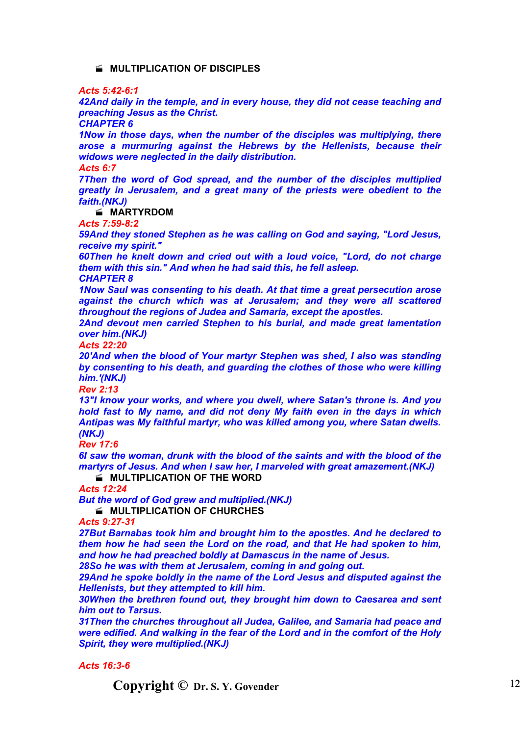### **MULTIPLICATION OF DISCIPLES**

*Acts 5:42-6:1*

*42And daily in the temple, and in every house, they did not cease teaching and preaching Jesus as the Christ.*

*CHAPTER 6*

*1Now in those days, when the number of the disciples was multiplying, there arose a murmuring against the Hebrews by the Hellenists, because their widows were neglected in the daily distribution.*

*Acts 6:7*

*7Then the word of God spread, and the number of the disciples multiplied greatly in Jerusalem, and a great many of the priests were obedient to the faith.(NKJ)*

**MARTYRDOM**

*Acts 7:59-8:2*

*59And they stoned Stephen as he was calling on God and saying, "Lord Jesus, receive my spirit."*

*60Then he knelt down and cried out with a loud voice, "Lord, do not charge them with this sin." And when he had said this, he fell asleep.*

*CHAPTER 8*

*1Now Saul was consenting to his death. At that time a great persecution arose against the church which was at Jerusalem; and they were all scattered throughout the regions of Judea and Samaria, except the apostles.*

*2And devout men carried Stephen to his burial, and made great lamentation over him.(NKJ)*

*Acts 22:20*

*20'And when the blood of Your martyr Stephen was shed, I also was standing by consenting to his death, and guarding the clothes of those who were killing him.'(NKJ)*

*Rev 2:13*

*13"I know your works, and where you dwell, where Satan's throne is. And you hold fast to My name, and did not deny My faith even in the days in which Antipas was My faithful martyr, who was killed among you, where Satan dwells. (NKJ)*

*Rev 17:6*

*6I saw the woman, drunk with the blood of the saints and with the blood of the martyrs of Jesus. And when I saw her, I marveled with great amazement.(NKJ)*

**MULTIPLICATION OF THE WORD** 

*Acts 12:24*

*But the word of God grew and multiplied.(NKJ)*

**MULTIPLICATION OF CHURCHES** 

*Acts 9:27-31*

*27But Barnabas took him and brought him to the apostles. And he declared to them how he had seen the Lord on the road, and that He had spoken to him, and how he had preached boldly at Damascus in the name of Jesus.*

*28So he was with them at Jerusalem, coming in and going out.*

*29And he spoke boldly in the name of the Lord Jesus and disputed against the Hellenists, but they attempted to kill him.*

*30When the brethren found out, they brought him down to Caesarea and sent him out to Tarsus.*

*31Then the churches throughout all Judea, Galilee, and Samaria had peace and were edified. And walking in the fear of the Lord and in the comfort of the Holy Spirit, they were multiplied.(NKJ)*

*Acts 16:3-6*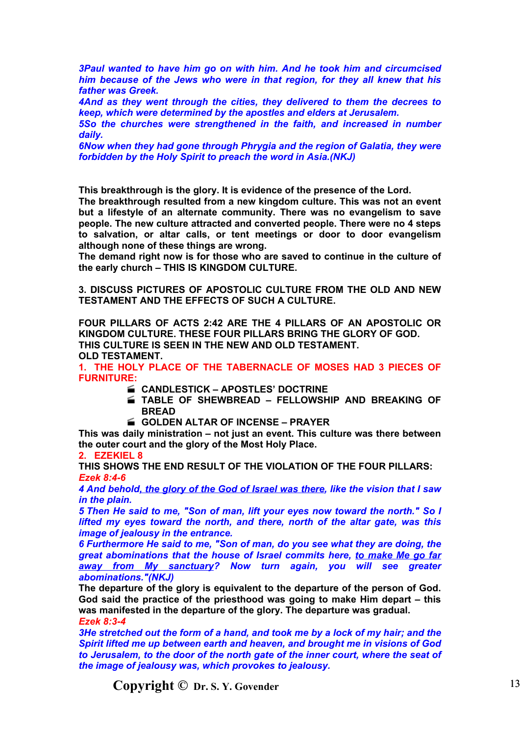*3Paul wanted to have him go on with him. And he took him and circumcised him because of the Jews who were in that region, for they all knew that his father was Greek.*

*4And as they went through the cities, they delivered to them the decrees to keep, which were determined by the apostles and elders at Jerusalem.*

*5So the churches were strengthened in the faith, and increased in number daily.*

*6Now when they had gone through Phrygia and the region of Galatia, they were forbidden by the Holy Spirit to preach the word in Asia.(NKJ)*

**This breakthrough is the glory. It is evidence of the presence of the Lord.**

**The breakthrough resulted from a new kingdom culture. This was not an event but a lifestyle of an alternate community. There was no evangelism to save people. The new culture attracted and converted people. There were no 4 steps to salvation, or altar calls, or tent meetings or door to door evangelism although none of these things are wrong.**

**The demand right now is for those who are saved to continue in the culture of the early church – THIS IS KINGDOM CULTURE.**

**3. DISCUSS PICTURES OF APOSTOLIC CULTURE FROM THE OLD AND NEW TESTAMENT AND THE EFFECTS OF SUCH A CULTURE.**

**FOUR PILLARS OF ACTS 2:42 ARE THE 4 PILLARS OF AN APOSTOLIC OR KINGDOM CULTURE. THESE FOUR PILLARS BRING THE GLORY OF GOD. THIS CULTURE IS SEEN IN THE NEW AND OLD TESTAMENT. OLD TESTAMENT.**

**1. THE HOLY PLACE OF THE TABERNACLE OF MOSES HAD 3 PIECES OF FURNITURE:**

- **CANDLESTICK APOSTLES' DOCTRINE**
- **TABLE OF SHEWBREAD FELLOWSHIP AND BREAKING OF BREAD**
- **GOLDEN ALTAR OF INCENSE PRAYER**

**This was daily ministration – not just an event. This culture was there between the outer court and the glory of the Most Holy Place.**

**2. EZEKIEL 8**

**THIS SHOWS THE END RESULT OF THE VIOLATION OF THE FOUR PILLARS:** *Ezek 8:4-6*

*4 And behold, the glory of the God of Israel was there, like the vision that I saw in the plain.*

*5 Then He said to me, "Son of man, lift your eyes now toward the north." So I lifted my eyes toward the north, and there, north of the altar gate, was this image of jealousy in the entrance.*

*6 Furthermore He said to me, "Son of man, do you see what they are doing, the great abominations that the house of Israel commits here, to make Me go far away from My sanctuary? Now turn again, you will see greater abominations."(NKJ)*

**The departure of the glory is equivalent to the departure of the person of God. God said the practice of the priesthood was going to make Him depart – this was manifested in the departure of the glory. The departure was gradual.** *Ezek 8:3-4*

*3He stretched out the form of a hand, and took me by a lock of my hair; and the Spirit lifted me up between earth and heaven, and brought me in visions of God to Jerusalem, to the door of the north gate of the inner court, where the seat of the image of jealousy was, which provokes to jealousy.*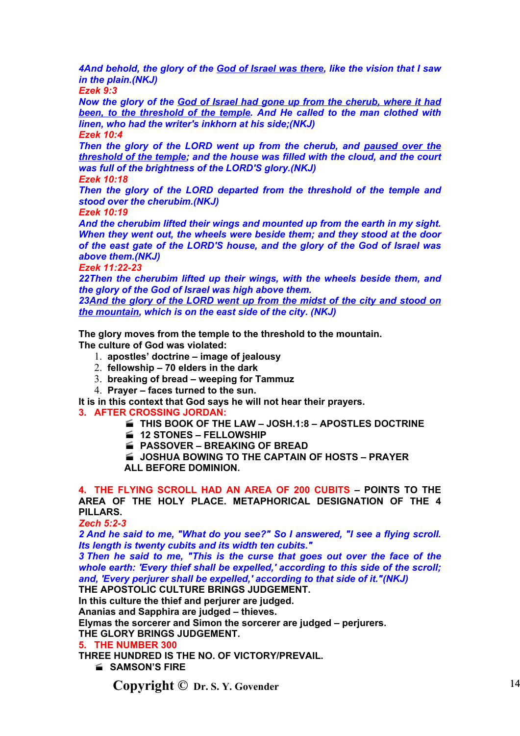*4And behold, the glory of the God of Israel was there, like the vision that I saw in the plain.(NKJ)*

*Ezek 9:3*

*Now the glory of the God of Israel had gone up from the cherub, where it had been, to the threshold of the temple. And He called to the man clothed with linen, who had the writer's inkhorn at his side;(NKJ) Ezek 10:4*

*Then the glory of the LORD went up from the cherub, and paused over the threshold of the temple; and the house was filled with the cloud, and the court was full of the brightness of the LORD'S glory.(NKJ)*

*Ezek 10:18*

*Then the glory of the LORD departed from the threshold of the temple and stood over the cherubim.(NKJ)*

*Ezek 10:19*

*And the cherubim lifted their wings and mounted up from the earth in my sight. When they went out, the wheels were beside them; and they stood at the door of the east gate of the LORD'S house, and the glory of the God of Israel was above them.(NKJ)*

*Ezek 11:22-23*

*22Then the cherubim lifted up their wings, with the wheels beside them, and the glory of the God of Israel was high above them.*

*23And the glory of the LORD went up from the midst of the city and stood on the mountain, which is on the east side of the city. (NKJ)*

**The glory moves from the temple to the threshold to the mountain. The culture of God was violated:**

- 1. **apostles' doctrine image of jealousy**
- 2. **fellowship 70 elders in the dark**
- 3. **breaking of bread weeping for Tammuz**
- 4. **Prayer faces turned to the sun.**

**It is in this context that God says he will not hear their prayers.**

- **3. AFTER CROSSING JORDAN:**
	- **THIS BOOK OF THE LAW JOSH.1:8 APOSTLES DOCTRINE**
	- **12 STONES FELLOWSHIP**
	- **PASSOVER BREAKING OF BREAD**
	- **JOSHUA BOWING TO THE CAPTAIN OF HOSTS PRAYER ALL BEFORE DOMINION.**

**4. THE FLYING SCROLL HAD AN AREA OF 200 CUBITS – POINTS TO THE AREA OF THE HOLY PLACE. METAPHORICAL DESIGNATION OF THE 4 PILLARS.**

*Zech 5:2-3*

*2 And he said to me, "What do you see?" So I answered, "I see a flying scroll. Its length is twenty cubits and its width ten cubits."*

*3 Then he said to me, "This is the curse that goes out over the face of the whole earth: 'Every thief shall be expelled,' according to this side of the scroll; and, 'Every perjurer shall be expelled,' according to that side of it."(NKJ)*

**THE APOSTOLIC CULTURE BRINGS JUDGEMENT. In this culture the thief and perjurer are judged.**

**Ananias and Sapphira are judged – thieves.**

**Elymas the sorcerer and Simon the sorcerer are judged – perjurers.**

**THE GLORY BRINGS JUDGEMENT.**

## **5. THE NUMBER 300**

**THREE HUNDRED IS THE NO. OF VICTORY/PREVAIL.**

**SAMSON'S FIRE**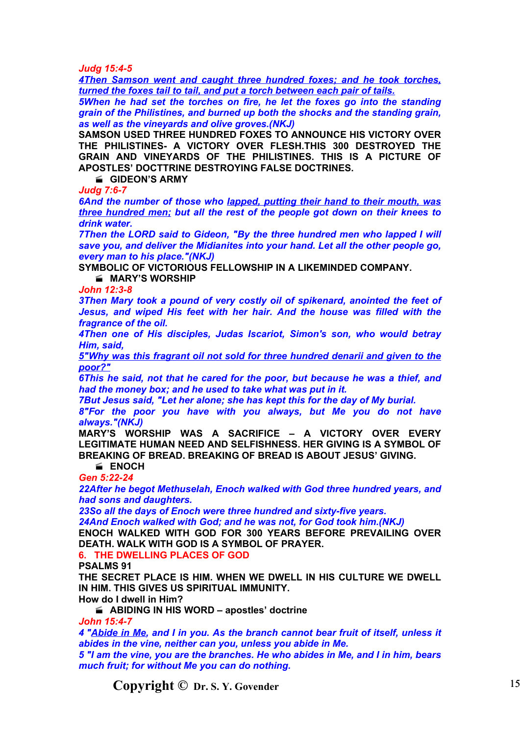*Judg 15:4-5*

*4Then Samson went and caught three hundred foxes; and he took torches, turned the foxes tail to tail, and put a torch between each pair of tails.*

*5When he had set the torches on fire, he let the foxes go into the standing grain of the Philistines, and burned up both the shocks and the standing grain, as well as the vineyards and olive groves.(NKJ)*

**SAMSON USED THREE HUNDRED FOXES TO ANNOUNCE HIS VICTORY OVER THE PHILISTINES- A VICTORY OVER FLESH.THIS 300 DESTROYED THE GRAIN AND VINEYARDS OF THE PHILISTINES. THIS IS A PICTURE OF APOSTLES' DOCTTRINE DESTROYING FALSE DOCTRINES.**

**GIDEON'S ARMY**

*Judg 7:6-7*

*6And the number of those who lapped, putting their hand to their mouth, was three hundred men; but all the rest of the people got down on their knees to drink water.*

*7Then the LORD said to Gideon, "By the three hundred men who lapped I will save you, and deliver the Midianites into your hand. Let all the other people go, every man to his place."(NKJ)*

**SYMBOLIC OF VICTORIOUS FELLOWSHIP IN A LIKEMINDED COMPANY. MARY'S WORSHIP**

*John 12:3-8*

*3Then Mary took a pound of very costly oil of spikenard, anointed the feet of Jesus, and wiped His feet with her hair. And the house was filled with the fragrance of the oil.*

*4Then one of His disciples, Judas Iscariot, Simon's son, who would betray Him, said,*

*5"Why was this fragrant oil not sold for three hundred denarii and given to the poor?"*

*6This he said, not that he cared for the poor, but because he was a thief, and had the money box; and he used to take what was put in it.*

*7But Jesus said, "Let her alone; she has kept this for the day of My burial.*

*8"For the poor you have with you always, but Me you do not have always."(NKJ)*

**MARY'S WORSHIP WAS A SACRIFICE – A VICTORY OVER EVERY LEGITIMATE HUMAN NEED AND SELFISHNESS. HER GIVING IS A SYMBOL OF BREAKING OF BREAD. BREAKING OF BREAD IS ABOUT JESUS' GIVING.**

**ENOCH**

*Gen 5:22-24*

*22After he begot Methuselah, Enoch walked with God three hundred years, and had sons and daughters.*

*23So all the days of Enoch were three hundred and sixty-five years. 24And Enoch walked with God; and he was not, for God took him.(NKJ)*

**ENOCH WALKED WITH GOD FOR 300 YEARS BEFORE PREVAILING OVER DEATH. WALK WITH GOD IS A SYMBOL OF PRAYER.**

**6. THE DWELLING PLACES OF GOD**

**PSALMS 91**

**THE SECRET PLACE IS HIM. WHEN WE DWELL IN HIS CULTURE WE DWELL IN HIM. THIS GIVES US SPIRITUAL IMMUNITY.**

**How do I dwell in Him?**

**ABIDING IN HIS WORD – apostles' doctrine**

*John 15:4-7*

*4 "Abide in Me, and I in you. As the branch cannot bear fruit of itself, unless it abides in the vine, neither can you, unless you abide in Me.*

*5 "I am the vine, you are the branches. He who abides in Me, and I in him, bears much fruit; for without Me you can do nothing.*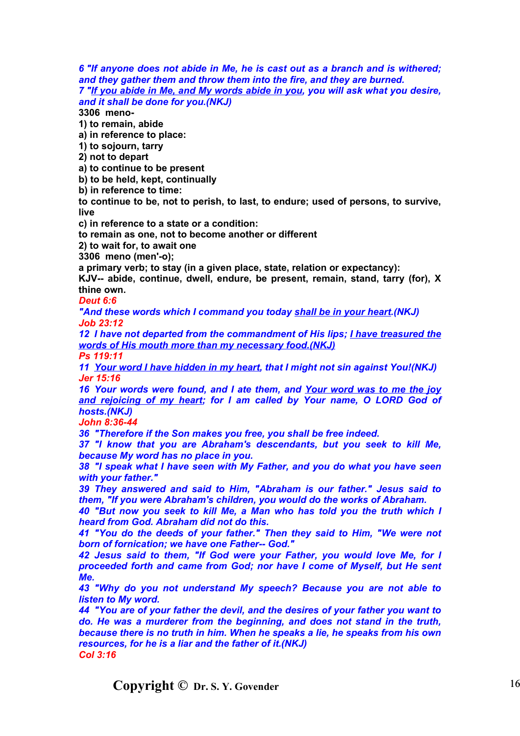*6 "If anyone does not abide in Me, he is cast out as a branch and is withered; and they gather them and throw them into the fire, and they are burned. 7 "If you abide in Me, and My words abide in you, you will ask what you desire, and it shall be done for you.(NKJ)*

**3306 meno-**

**1) to remain, abide**

**a) in reference to place:**

**1) to sojourn, tarry**

**2) not to depart**

**a) to continue to be present**

**b) to be held, kept, continually**

**b) in reference to time:**

**to continue to be, not to perish, to last, to endure; used of persons, to survive, live**

**c) in reference to a state or a condition:**

**to remain as one, not to become another or different**

**2) to wait for, to await one**

**3306 meno (men'-o);**

**a primary verb; to stay (in a given place, state, relation or expectancy):**

**KJV-- abide, continue, dwell, endure, be present, remain, stand, tarry (for), X thine own.**

*Deut 6:6*

*"And these words which I command you today shall be in your heart.(NKJ) Job 23:12*

*12 I have not departed from the commandment of His lips; I have treasured the words of His mouth more than my necessary food.(NKJ)*

*Ps 119:11*

*11 Your word I have hidden in my heart, that I might not sin against You!(NKJ) Jer 15:16*

*16 Your words were found, and I ate them, and Your word was to me the joy and rejoicing of my heart; for I am called by Your name, O LORD God of hosts.(NKJ)*

*John 8:36-44*

*36 "Therefore if the Son makes you free, you shall be free indeed.*

*37 "I know that you are Abraham's descendants, but you seek to kill Me, because My word has no place in you.*

*38 "I speak what I have seen with My Father, and you do what you have seen with your father."*

*39 They answered and said to Him, "Abraham is our father." Jesus said to them, "If you were Abraham's children, you would do the works of Abraham.*

*40 "But now you seek to kill Me, a Man who has told you the truth which I heard from God. Abraham did not do this.*

*41 "You do the deeds of your father." Then they said to Him, "We were not born of fornication; we have one Father-- God."*

*42 Jesus said to them, "If God were your Father, you would love Me, for I proceeded forth and came from God; nor have I come of Myself, but He sent Me.*

*43 "Why do you not understand My speech? Because you are not able to listen to My word.*

*44 "You are of your father the devil, and the desires of your father you want to do. He was a murderer from the beginning, and does not stand in the truth, because there is no truth in him. When he speaks a lie, he speaks from his own resources, for he is a liar and the father of it.(NKJ) Col 3:16*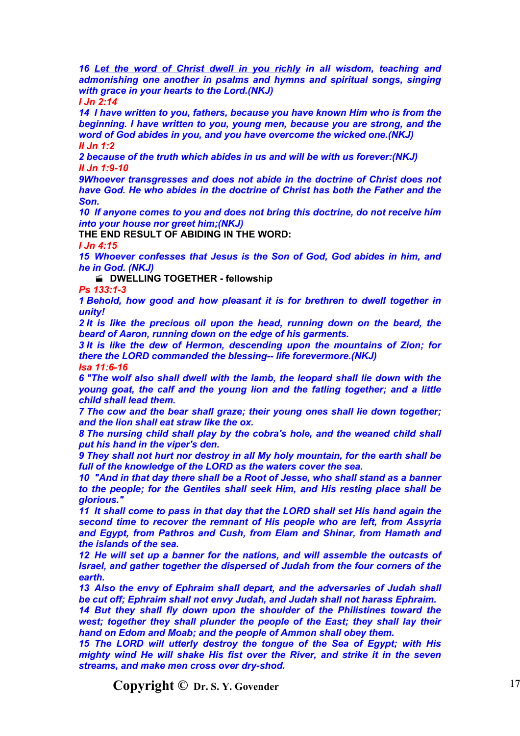*16 Let the word of Christ dwell in you richly in all wisdom, teaching and admonishing one another in psalms and hymns and spiritual songs, singing with grace in your hearts to the Lord.(NKJ) I Jn 2:14*

*14 I have written to you, fathers, because you have known Him who is from the beginning. I have written to you, young men, because you are strong, and the word of God abides in you, and you have overcome the wicked one.(NKJ) II Jn 1:2*

*2 because of the truth which abides in us and will be with us forever:(NKJ) II Jn 1:9-10*

*9Whoever transgresses and does not abide in the doctrine of Christ does not have God. He who abides in the doctrine of Christ has both the Father and the Son.*

*10 If anyone comes to you and does not bring this doctrine, do not receive him into your house nor greet him;(NKJ)*

**THE END RESULT OF ABIDING IN THE WORD:**

*I Jn 4:15*

*15 Whoever confesses that Jesus is the Son of God, God abides in him, and he in God. (NKJ)*

**E** DWELLING TOGETHER - fellowship

*Ps 133:1-3*

*1 Behold, how good and how pleasant it is for brethren to dwell together in unity!*

*2 It is like the precious oil upon the head, running down on the beard, the beard of Aaron, running down on the edge of his garments.*

*3 It is like the dew of Hermon, descending upon the mountains of Zion; for there the LORD commanded the blessing-- life forevermore.(NKJ)*

*Isa 11:6-16*

*6 "The wolf also shall dwell with the lamb, the leopard shall lie down with the young goat, the calf and the young lion and the fatling together; and a little child shall lead them.*

*7 The cow and the bear shall graze; their young ones shall lie down together; and the lion shall eat straw like the ox.*

*8 The nursing child shall play by the cobra's hole, and the weaned child shall put his hand in the viper's den.*

*9 They shall not hurt nor destroy in all My holy mountain, for the earth shall be full of the knowledge of the LORD as the waters cover the sea.*

*10 "And in that day there shall be a Root of Jesse, who shall stand as a banner to the people; for the Gentiles shall seek Him, and His resting place shall be glorious."*

*11 It shall come to pass in that day that the LORD shall set His hand again the second time to recover the remnant of His people who are left, from Assyria and Egypt, from Pathros and Cush, from Elam and Shinar, from Hamath and the islands of the sea.*

*12 He will set up a banner for the nations, and will assemble the outcasts of Israel, and gather together the dispersed of Judah from the four corners of the earth.*

*13 Also the envy of Ephraim shall depart, and the adversaries of Judah shall be cut off; Ephraim shall not envy Judah, and Judah shall not harass Ephraim.*

*14 But they shall fly down upon the shoulder of the Philistines toward the west; together they shall plunder the people of the East; they shall lay their hand on Edom and Moab; and the people of Ammon shall obey them.*

*15 The LORD will utterly destroy the tongue of the Sea of Egypt; with His mighty wind He will shake His fist over the River, and strike it in the seven streams, and make men cross over dry-shod.*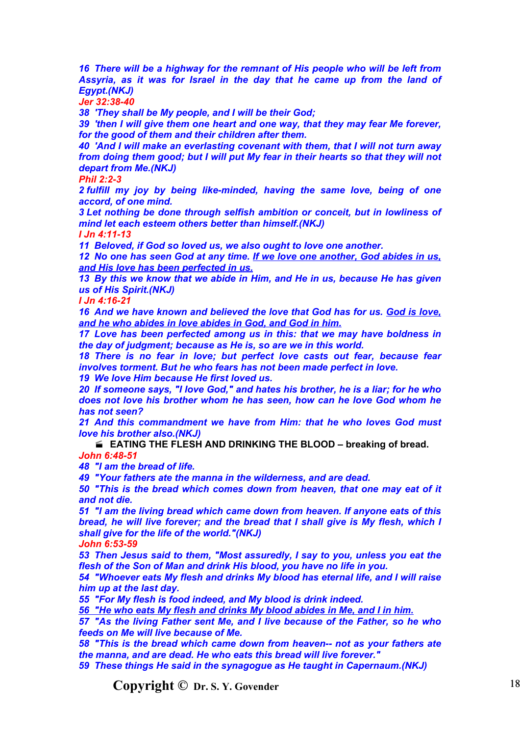*16 There will be a highway for the remnant of His people who will be left from Assyria, as it was for Israel in the day that he came up from the land of Egypt.(NKJ)*

*Jer 32:38-40*

*38 'They shall be My people, and I will be their God;*

*39 'then I will give them one heart and one way, that they may fear Me forever, for the good of them and their children after them.*

*40 'And I will make an everlasting covenant with them, that I will not turn away from doing them good; but I will put My fear in their hearts so that they will not depart from Me.(NKJ)*

*Phil 2:2-3*

*2 fulfill my joy by being like-minded, having the same love, being of one accord, of one mind.*

*3 Let nothing be done through selfish ambition or conceit, but in lowliness of mind let each esteem others better than himself.(NKJ)*

*I Jn 4:11-13*

*11 Beloved, if God so loved us, we also ought to love one another.*

*12 No one has seen God at any time. If we love one another, God abides in us, and His love has been perfected in us.*

*13 By this we know that we abide in Him, and He in us, because He has given us of His Spirit.(NKJ)*

*I Jn 4:16-21*

*16 And we have known and believed the love that God has for us. God is love, and he who abides in love abides in God, and God in him.*

*17 Love has been perfected among us in this: that we may have boldness in the day of judgment; because as He is, so are we in this world.*

*18 There is no fear in love; but perfect love casts out fear, because fear involves torment. But he who fears has not been made perfect in love.*

*19 We love Him because He first loved us.*

*20 If someone says, "I love God," and hates his brother, he is a liar; for he who does not love his brother whom he has seen, how can he love God whom he has not seen?*

*21 And this commandment we have from Him: that he who loves God must love his brother also.(NKJ)*

 **EATING THE FLESH AND DRINKING THE BLOOD – breaking of bread.** *John 6:48-51*

*48 "I am the bread of life.*

*49 "Your fathers ate the manna in the wilderness, and are dead.*

*50 "This is the bread which comes down from heaven, that one may eat of it and not die.*

*51 "I am the living bread which came down from heaven. If anyone eats of this bread, he will live forever; and the bread that I shall give is My flesh, which I shall give for the life of the world."(NKJ)*

*John 6:53-59*

*53 Then Jesus said to them, "Most assuredly, I say to you, unless you eat the flesh of the Son of Man and drink His blood, you have no life in you.*

*54 "Whoever eats My flesh and drinks My blood has eternal life, and I will raise him up at the last day.*

*55 "For My flesh is food indeed, and My blood is drink indeed.*

*56 "He who eats My flesh and drinks My blood abides in Me, and I in him.*

*57 "As the living Father sent Me, and I live because of the Father, so he who feeds on Me will live because of Me.*

*58 "This is the bread which came down from heaven-- not as your fathers ate the manna, and are dead. He who eats this bread will live forever."*

*59 These things He said in the synagogue as He taught in Capernaum.(NKJ)*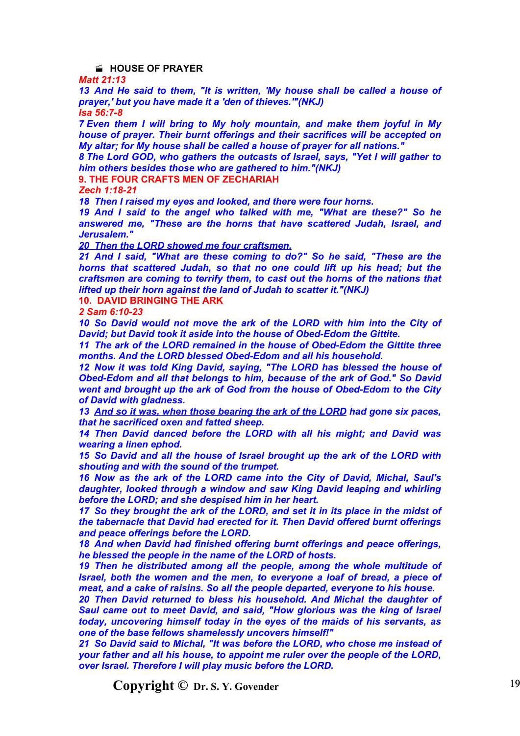### **HOUSE OF PRAYER**

*Matt 21:13*

*13 And He said to them, "It is written, 'My house shall be called a house of prayer,' but you have made it a 'den of thieves.'"(NKJ) Isa 56:7-8*

*7 Even them I will bring to My holy mountain, and make them joyful in My house of prayer. Their burnt offerings and their sacrifices will be accepted on My altar; for My house shall be called a house of prayer for all nations."*

*8 The Lord GOD, who gathers the outcasts of Israel, says, "Yet I will gather to him others besides those who are gathered to him."(NKJ)*

**9. THE FOUR CRAFTS MEN OF ZECHARIAH**

*Zech 1:18-21*

*18 Then I raised my eyes and looked, and there were four horns.*

*19 And I said to the angel who talked with me, "What are these?" So he answered me, "These are the horns that have scattered Judah, Israel, and Jerusalem."*

*20 Then the LORD showed me four craftsmen.*

*21 And I said, "What are these coming to do?" So he said, "These are the horns that scattered Judah, so that no one could lift up his head; but the craftsmen are coming to terrify them, to cast out the horns of the nations that lifted up their horn against the land of Judah to scatter it."(NKJ)*

**10. DAVID BRINGING THE ARK**

*2 Sam 6:10-23*

*10 So David would not move the ark of the LORD with him into the City of David; but David took it aside into the house of Obed-Edom the Gittite.*

*11 The ark of the LORD remained in the house of Obed-Edom the Gittite three months. And the LORD blessed Obed-Edom and all his household.*

*12 Now it was told King David, saying, "The LORD has blessed the house of Obed-Edom and all that belongs to him, because of the ark of God." So David went and brought up the ark of God from the house of Obed-Edom to the City of David with gladness.*

*13 And so it was, when those bearing the ark of the LORD had gone six paces, that he sacrificed oxen and fatted sheep.*

*14 Then David danced before the LORD with all his might; and David was wearing a linen ephod.*

*15 So David and all the house of Israel brought up the ark of the LORD with shouting and with the sound of the trumpet.*

*16 Now as the ark of the LORD came into the City of David, Michal, Saul's daughter, looked through a window and saw King David leaping and whirling before the LORD; and she despised him in her heart.*

*17 So they brought the ark of the LORD, and set it in its place in the midst of the tabernacle that David had erected for it. Then David offered burnt offerings and peace offerings before the LORD.*

*18 And when David had finished offering burnt offerings and peace offerings, he blessed the people in the name of the LORD of hosts.*

*19 Then he distributed among all the people, among the whole multitude of Israel, both the women and the men, to everyone a loaf of bread, a piece of meat, and a cake of raisins. So all the people departed, everyone to his house.*

*20 Then David returned to bless his household. And Michal the daughter of Saul came out to meet David, and said, "How glorious was the king of Israel today, uncovering himself today in the eyes of the maids of his servants, as one of the base fellows shamelessly uncovers himself!"*

*21 So David said to Michal, "It was before the LORD, who chose me instead of your father and all his house, to appoint me ruler over the people of the LORD, over Israel. Therefore I will play music before the LORD.*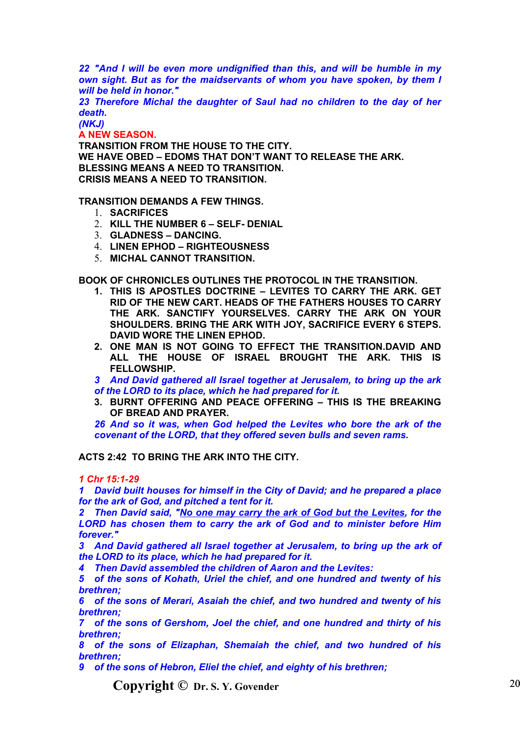*22 "And I will be even more undignified than this, and will be humble in my own sight. But as for the maidservants of whom you have spoken, by them I will be held in honor."*

*23 Therefore Michal the daughter of Saul had no children to the day of her death.*

*(NKJ)*

**A NEW SEASON.**

**TRANSITION FROM THE HOUSE TO THE CITY. WE HAVE OBED – EDOMS THAT DON'T WANT TO RELEASE THE ARK. BLESSING MEANS A NEED TO TRANSITION. CRISIS MEANS A NEED TO TRANSITION.**

**TRANSITION DEMANDS A FEW THINGS.**

- 1. **SACRIFICES**
- 2. **KILL THE NUMBER 6 SELF- DENIAL**
- 3. **GLADNESS DANCING.**
- 4. **LINEN EPHOD RIGHTEOUSNESS**
- 5. **MICHAL CANNOT TRANSITION.**

**BOOK OF CHRONICLES OUTLINES THE PROTOCOL IN THE TRANSITION.**

- **1. THIS IS APOSTLES DOCTRINE LEVITES TO CARRY THE ARK. GET RID OF THE NEW CART. HEADS OF THE FATHERS HOUSES TO CARRY THE ARK. SANCTIFY YOURSELVES. CARRY THE ARK ON YOUR SHOULDERS. BRING THE ARK WITH JOY, SACRIFICE EVERY 6 STEPS. DAVID WORE THE LINEN EPHOD.**
- **2. ONE MAN IS NOT GOING TO EFFECT THE TRANSITION.DAVID AND ALL THE HOUSE OF ISRAEL BROUGHT THE ARK. THIS IS FELLOWSHIP.**

*3 And David gathered all Israel together at Jerusalem, to bring up the ark of the LORD to its place, which he had prepared for it.*

**3. BURNT OFFERING AND PEACE OFFERING – THIS IS THE BREAKING OF BREAD AND PRAYER.**

*26 And so it was, when God helped the Levites who bore the ark of the covenant of the LORD, that they offered seven bulls and seven rams.*

# **ACTS 2:42 TO BRING THE ARK INTO THE CITY.**

*1 Chr 15:1-29*

*1 David built houses for himself in the City of David; and he prepared a place for the ark of God, and pitched a tent for it.*

*2 Then David said, "No one may carry the ark of God but the Levites, for the LORD has chosen them to carry the ark of God and to minister before Him forever."*

*3 And David gathered all Israel together at Jerusalem, to bring up the ark of the LORD to its place, which he had prepared for it.*

*4 Then David assembled the children of Aaron and the Levites:*

*5 of the sons of Kohath, Uriel the chief, and one hundred and twenty of his brethren;*

*6 of the sons of Merari, Asaiah the chief, and two hundred and twenty of his brethren;*

*7 of the sons of Gershom, Joel the chief, and one hundred and thirty of his brethren;*

*8 of the sons of Elizaphan, Shemaiah the chief, and two hundred of his brethren;*

*9 of the sons of Hebron, Eliel the chief, and eighty of his brethren;*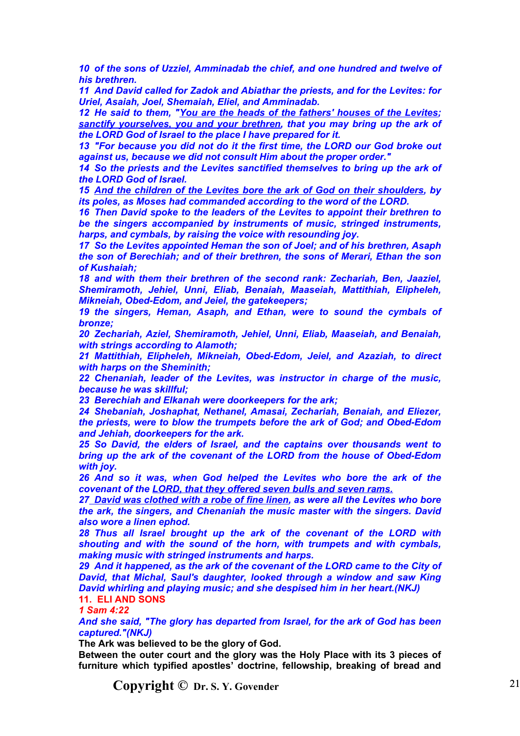*10 of the sons of Uzziel, Amminadab the chief, and one hundred and twelve of his brethren.*

*11 And David called for Zadok and Abiathar the priests, and for the Levites: for Uriel, Asaiah, Joel, Shemaiah, Eliel, and Amminadab.*

*12 He said to them, "You are the heads of the fathers' houses of the Levites; sanctify yourselves, you and your brethren, that you may bring up the ark of the LORD God of Israel to the place I have prepared for it.*

*13 "For because you did not do it the first time, the LORD our God broke out against us, because we did not consult Him about the proper order."*

*14 So the priests and the Levites sanctified themselves to bring up the ark of the LORD God of Israel.*

*15 And the children of the Levites bore the ark of God on their shoulders, by its poles, as Moses had commanded according to the word of the LORD.*

*16 Then David spoke to the leaders of the Levites to appoint their brethren to be the singers accompanied by instruments of music, stringed instruments, harps, and cymbals, by raising the voice with resounding joy.*

*17 So the Levites appointed Heman the son of Joel; and of his brethren, Asaph the son of Berechiah; and of their brethren, the sons of Merari, Ethan the son of Kushaiah;*

*18 and with them their brethren of the second rank: Zechariah, Ben, Jaaziel, Shemiramoth, Jehiel, Unni, Eliab, Benaiah, Maaseiah, Mattithiah, Elipheleh, Mikneiah, Obed-Edom, and Jeiel, the gatekeepers;*

*19 the singers, Heman, Asaph, and Ethan, were to sound the cymbals of bronze;*

*20 Zechariah, Aziel, Shemiramoth, Jehiel, Unni, Eliab, Maaseiah, and Benaiah, with strings according to Alamoth;*

*21 Mattithiah, Elipheleh, Mikneiah, Obed-Edom, Jeiel, and Azaziah, to direct with harps on the Sheminith;*

*22 Chenaniah, leader of the Levites, was instructor in charge of the music, because he was skillful;*

*23 Berechiah and Elkanah were doorkeepers for the ark;*

*24 Shebaniah, Joshaphat, Nethanel, Amasai, Zechariah, Benaiah, and Eliezer, the priests, were to blow the trumpets before the ark of God; and Obed-Edom and Jehiah, doorkeepers for the ark.*

*25 So David, the elders of Israel, and the captains over thousands went to bring up the ark of the covenant of the LORD from the house of Obed-Edom with joy.*

*26 And so it was, when God helped the Levites who bore the ark of the covenant of the LORD, that they offered seven bulls and seven rams.*

*27 David was clothed with a robe of fine linen, as were all the Levites who bore the ark, the singers, and Chenaniah the music master with the singers. David also wore a linen ephod.*

*28 Thus all Israel brought up the ark of the covenant of the LORD with shouting and with the sound of the horn, with trumpets and with cymbals, making music with stringed instruments and harps.*

*29 And it happened, as the ark of the covenant of the LORD came to the City of David, that Michal, Saul's daughter, looked through a window and saw King David whirling and playing music; and she despised him in her heart.(NKJ)* **11. ELI AND SONS**

*1 Sam 4:22*

*And she said, "The glory has departed from Israel, for the ark of God has been captured."(NKJ)*

**The Ark was believed to be the glory of God.**

**Between the outer court and the glory was the Holy Place with its 3 pieces of furniture which typified apostles' doctrine, fellowship, breaking of bread and**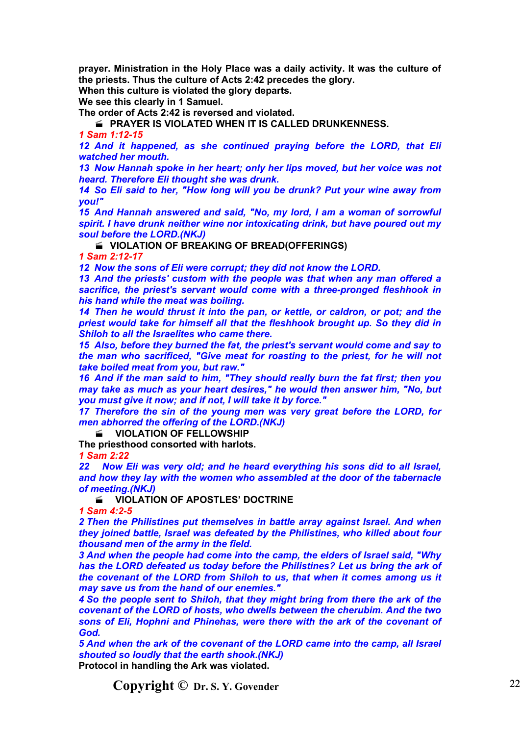**prayer. Ministration in the Holy Place was a daily activity. It was the culture of the priests. Thus the culture of Acts 2:42 precedes the glory.**

**When this culture is violated the glory departs.**

**We see this clearly in 1 Samuel.**

**The order of Acts 2:42 is reversed and violated.**

**PRAYER IS VIOLATED WHEN IT IS CALLED DRUNKENNESS.** 

*1 Sam 1:12-15*

*12 And it happened, as she continued praying before the LORD, that Eli watched her mouth.*

*13 Now Hannah spoke in her heart; only her lips moved, but her voice was not heard. Therefore Eli thought she was drunk.*

*14 So Eli said to her, "How long will you be drunk? Put your wine away from you!"*

*15 And Hannah answered and said, "No, my lord, I am a woman of sorrowful spirit. I have drunk neither wine nor intoxicating drink, but have poured out my soul before the LORD.(NKJ)*

**VIOLATION OF BREAKING OF BREAD(OFFERINGS)**

*1 Sam 2:12-17*

*12 Now the sons of Eli were corrupt; they did not know the LORD.*

*13 And the priests' custom with the people was that when any man offered a sacrifice, the priest's servant would come with a three-pronged fleshhook in his hand while the meat was boiling.*

*14 Then he would thrust it into the pan, or kettle, or caldron, or pot; and the priest would take for himself all that the fleshhook brought up. So they did in Shiloh to all the Israelites who came there.*

*15 Also, before they burned the fat, the priest's servant would come and say to the man who sacrificed, "Give meat for roasting to the priest, for he will not take boiled meat from you, but raw."*

*16 And if the man said to him, "They should really burn the fat first; then you may take as much as your heart desires," he would then answer him, "No, but you must give it now; and if not, I will take it by force."*

*17 Therefore the sin of the young men was very great before the LORD, for men abhorred the offering of the LORD.(NKJ)*

**WIOLATION OF FELLOWSHIP** 

**The priesthood consorted with harlots.**

*1 Sam 2:22*

*22 Now Eli was very old; and he heard everything his sons did to all Israel, and how they lay with the women who assembled at the door of the tabernacle of meeting.(NKJ)*

**E** VIOLATION OF APOSTLES' DOCTRINE

*1 Sam 4:2-5*

*2 Then the Philistines put themselves in battle array against Israel. And when they joined battle, Israel was defeated by the Philistines, who killed about four thousand men of the army in the field.*

*3 And when the people had come into the camp, the elders of Israel said, "Why has the LORD defeated us today before the Philistines? Let us bring the ark of the covenant of the LORD from Shiloh to us, that when it comes among us it may save us from the hand of our enemies."*

*4 So the people sent to Shiloh, that they might bring from there the ark of the covenant of the LORD of hosts, who dwells between the cherubim. And the two sons of Eli, Hophni and Phinehas, were there with the ark of the covenant of God.*

*5 And when the ark of the covenant of the LORD came into the camp, all Israel shouted so loudly that the earth shook.(NKJ)* **Protocol in handling the Ark was violated.**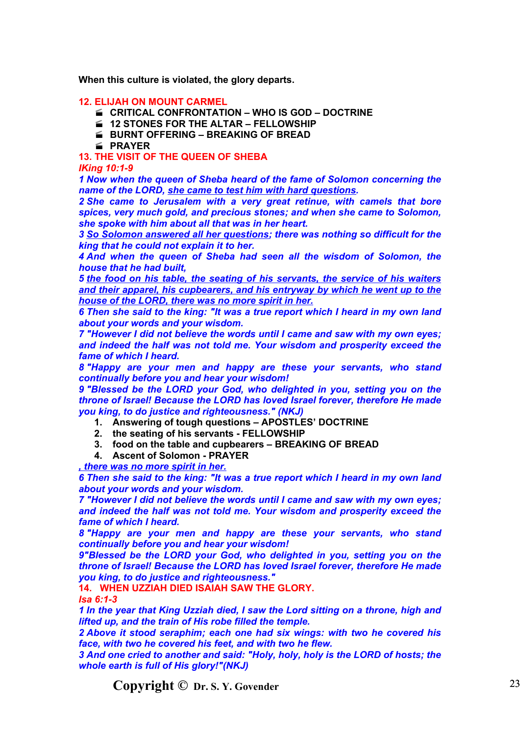**When this culture is violated, the glory departs.**

## **12. ELIJAH ON MOUNT CARMEL**

- **CRITICAL CONFRONTATION WHO IS GOD DOCTRINE**
- **12 STONES FOR THE ALTAR FELLOWSHIP**
- **E BURNT OFFERING BREAKING OF BREAD**
- **PRAYER**

**13. THE VISIT OF THE QUEEN OF SHEBA**

### *IKing 10:1-9*

*1 Now when the queen of Sheba heard of the fame of Solomon concerning the name of the LORD, she came to test him with hard questions.*

*2 She came to Jerusalem with a very great retinue, with camels that bore spices, very much gold, and precious stones; and when she came to Solomon, she spoke with him about all that was in her heart.*

*3 So Solomon answered all her questions; there was nothing so difficult for the king that he could not explain it to her.*

*4 And when the queen of Sheba had seen all the wisdom of Solomon, the house that he had built,*

*5 the food on his table, the seating of his servants, the service of his waiters and their apparel, his cupbearers, and his entryway by which he went up to the house of the LORD, there was no more spirit in her.*

*6 Then she said to the king: "It was a true report which I heard in my own land about your words and your wisdom.*

*7 "However I did not believe the words until I came and saw with my own eyes; and indeed the half was not told me. Your wisdom and prosperity exceed the fame of which I heard.*

*8 "Happy are your men and happy are these your servants, who stand continually before you and hear your wisdom!*

*9 "Blessed be the LORD your God, who delighted in you, setting you on the throne of Israel! Because the LORD has loved Israel forever, therefore He made you king, to do justice and righteousness." (NKJ)*

- **1. Answering of tough questions APOSTLES' DOCTRINE**
- **2. the seating of his servants FELLOWSHIP**
- **3. food on the table and cupbearers BREAKING OF BREAD**
- **4. Ascent of Solomon PRAYER**

*, there was no more spirit in her.*

*6 Then she said to the king: "It was a true report which I heard in my own land about your words and your wisdom.*

*7 "However I did not believe the words until I came and saw with my own eyes; and indeed the half was not told me. Your wisdom and prosperity exceed the fame of which I heard.*

*8 "Happy are your men and happy are these your servants, who stand continually before you and hear your wisdom!*

*9"Blessed be the LORD your God, who delighted in you, setting you on the throne of Israel! Because the LORD has loved Israel forever, therefore He made you king, to do justice and righteousness."*

# **14. WHEN UZZIAH DIED ISAIAH SAW THE GLORY.**

*Isa 6:1-3*

*1 In the year that King Uzziah died, I saw the Lord sitting on a throne, high and lifted up, and the train of His robe filled the temple.*

*2 Above it stood seraphim; each one had six wings: with two he covered his face, with two he covered his feet, and with two he flew.*

*3 And one cried to another and said: "Holy, holy, holy is the LORD of hosts; the whole earth is full of His glory!"(NKJ)*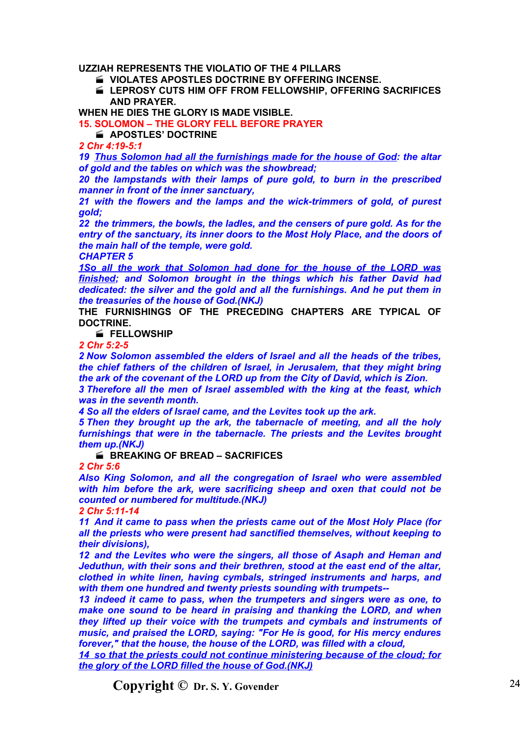**UZZIAH REPRESENTS THE VIOLATIO OF THE 4 PILLARS**

**VIOLATES APOSTLES DOCTRINE BY OFFERING INCENSE.**

 **LEPROSY CUTS HIM OFF FROM FELLOWSHIP, OFFERING SACRIFICES AND PRAYER.**

**WHEN HE DIES THE GLORY IS MADE VISIBLE.**

**15. SOLOMON – THE GLORY FELL BEFORE PRAYER**

**APOSTLES' DOCTRINE** 

*2 Chr 4:19-5:1*

*19 Thus Solomon had all the furnishings made for the house of God: the altar of gold and the tables on which was the showbread;*

*20 the lampstands with their lamps of pure gold, to burn in the prescribed manner in front of the inner sanctuary,*

*21 with the flowers and the lamps and the wick-trimmers of gold, of purest gold;*

*22 the trimmers, the bowls, the ladles, and the censers of pure gold. As for the entry of the sanctuary, its inner doors to the Most Holy Place, and the doors of the main hall of the temple, were gold.*

*CHAPTER 5*

*1So all the work that Solomon had done for the house of the LORD was finished; and Solomon brought in the things which his father David had dedicated: the silver and the gold and all the furnishings. And he put them in the treasuries of the house of God.(NKJ)*

**THE FURNISHINGS OF THE PRECEDING CHAPTERS ARE TYPICAL OF DOCTRINE.**

**FELLOWSHIP**

*2 Chr 5:2-5*

*2 Now Solomon assembled the elders of Israel and all the heads of the tribes, the chief fathers of the children of Israel, in Jerusalem, that they might bring the ark of the covenant of the LORD up from the City of David, which is Zion.*

*3 Therefore all the men of Israel assembled with the king at the feast, which was in the seventh month.*

*4 So all the elders of Israel came, and the Levites took up the ark.*

*5 Then they brought up the ark, the tabernacle of meeting, and all the holy furnishings that were in the tabernacle. The priests and the Levites brought them up.(NKJ)*

**BREAKING OF BREAD – SACRIFICES** 

*2 Chr 5:6*

*Also King Solomon, and all the congregation of Israel who were assembled with him before the ark, were sacrificing sheep and oxen that could not be counted or numbered for multitude.(NKJ)*

*2 Chr 5:11-14*

*11 And it came to pass when the priests came out of the Most Holy Place (for all the priests who were present had sanctified themselves, without keeping to their divisions),*

*12 and the Levites who were the singers, all those of Asaph and Heman and Jeduthun, with their sons and their brethren, stood at the east end of the altar, clothed in white linen, having cymbals, stringed instruments and harps, and with them one hundred and twenty priests sounding with trumpets--*

*13 indeed it came to pass, when the trumpeters and singers were as one, to make one sound to be heard in praising and thanking the LORD, and when they lifted up their voice with the trumpets and cymbals and instruments of music, and praised the LORD, saying: "For He is good, for His mercy endures forever," that the house, the house of the LORD, was filled with a cloud,*

*14 so that the priests could not continue ministering because of the cloud; for the glory of the LORD filled the house of God.(NKJ)*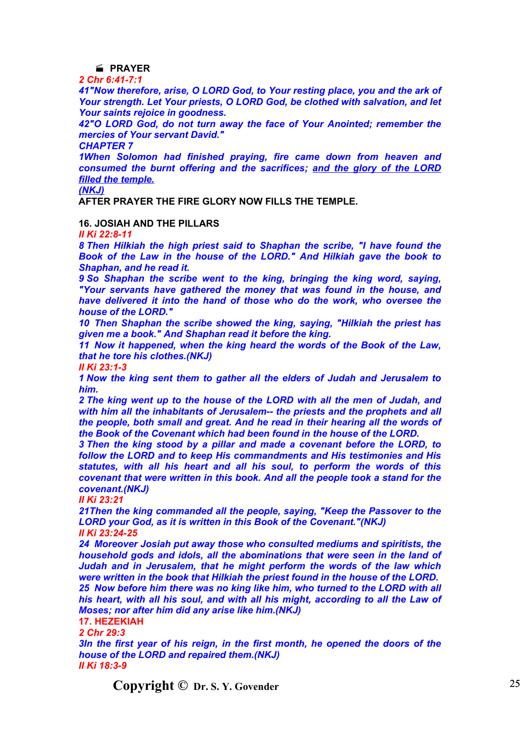# **PRAYER**

*2 Chr 6:41-7:1*

*41"Now therefore, arise, O LORD God, to Your resting place, you and the ark of Your strength. Let Your priests, O LORD God, be clothed with salvation, and let Your saints rejoice in goodness.*

*42"O LORD God, do not turn away the face of Your Anointed; remember the mercies of Your servant David."*

*CHAPTER 7*

*1When Solomon had finished praying, fire came down from heaven and consumed the burnt offering and the sacrifices; and the glory of the LORD filled the temple.*

*(NKJ)*

**AFTER PRAYER THE FIRE GLORY NOW FILLS THE TEMPLE.**

## **16. JOSIAH AND THE PILLARS**

*II Ki 22:8-11*

*8 Then Hilkiah the high priest said to Shaphan the scribe, "I have found the Book of the Law in the house of the LORD." And Hilkiah gave the book to Shaphan, and he read it.*

*9 So Shaphan the scribe went to the king, bringing the king word, saying, "Your servants have gathered the money that was found in the house, and have delivered it into the hand of those who do the work, who oversee the house of the LORD."*

*10 Then Shaphan the scribe showed the king, saying, "Hilkiah the priest has given me a book." And Shaphan read it before the king.*

*11 Now it happened, when the king heard the words of the Book of the Law, that he tore his clothes.(NKJ)*

*II Ki 23:1-3*

*1 Now the king sent them to gather all the elders of Judah and Jerusalem to him.*

*2 The king went up to the house of the LORD with all the men of Judah, and with him all the inhabitants of Jerusalem-- the priests and the prophets and all the people, both small and great. And he read in their hearing all the words of the Book of the Covenant which had been found in the house of the LORD.*

*3 Then the king stood by a pillar and made a covenant before the LORD, to follow the LORD and to keep His commandments and His testimonies and His statutes, with all his heart and all his soul, to perform the words of this covenant that were written in this book. And all the people took a stand for the covenant.(NKJ)*

*II Ki 23:21*

*21Then the king commanded all the people, saying, "Keep the Passover to the LORD your God, as it is written in this Book of the Covenant."(NKJ) II Ki 23:24-25*

*24 Moreover Josiah put away those who consulted mediums and spiritists, the household gods and idols, all the abominations that were seen in the land of Judah and in Jerusalem, that he might perform the words of the law which were written in the book that Hilkiah the priest found in the house of the LORD.*

*25 Now before him there was no king like him, who turned to the LORD with all his heart, with all his soul, and with all his might, according to all the Law of Moses; nor after him did any arise like him.(NKJ)*

**17. HEZEKIAH**

*2 Chr 29:3*

*3In the first year of his reign, in the first month, he opened the doors of the house of the LORD and repaired them.(NKJ) II Ki 18:3-9*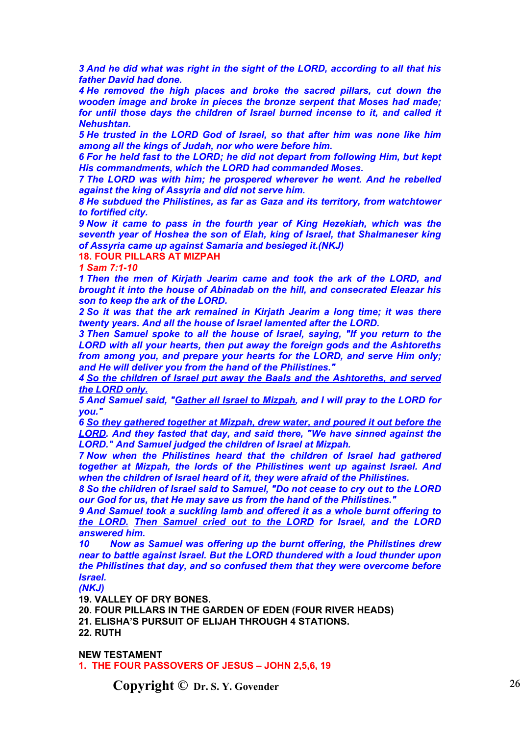*3 And he did what was right in the sight of the LORD, according to all that his father David had done.*

*4 He removed the high places and broke the sacred pillars, cut down the wooden image and broke in pieces the bronze serpent that Moses had made; for until those days the children of Israel burned incense to it, and called it Nehushtan.*

*5 He trusted in the LORD God of Israel, so that after him was none like him among all the kings of Judah, nor who were before him.*

*6 For he held fast to the LORD; he did not depart from following Him, but kept His commandments, which the LORD had commanded Moses.*

*7 The LORD was with him; he prospered wherever he went. And he rebelled against the king of Assyria and did not serve him.*

*8 He subdued the Philistines, as far as Gaza and its territory, from watchtower to fortified city.*

*9 Now it came to pass in the fourth year of King Hezekiah, which was the seventh year of Hoshea the son of Elah, king of Israel, that Shalmaneser king of Assyria came up against Samaria and besieged it.(NKJ)*

**18. FOUR PILLARS AT MIZPAH**

*1 Sam 7:1-10*

*1 Then the men of Kirjath Jearim came and took the ark of the LORD, and brought it into the house of Abinadab on the hill, and consecrated Eleazar his son to keep the ark of the LORD.*

*2 So it was that the ark remained in Kirjath Jearim a long time; it was there twenty years. And all the house of Israel lamented after the LORD.*

*3 Then Samuel spoke to all the house of Israel, saying, "If you return to the LORD with all your hearts, then put away the foreign gods and the Ashtoreths from among you, and prepare your hearts for the LORD, and serve Him only; and He will deliver you from the hand of the Philistines."*

*4 So the children of Israel put away the Baals and the Ashtoreths, and served the LORD only.*

*5 And Samuel said, "Gather all Israel to Mizpah, and I will pray to the LORD for you."*

*6 So they gathered together at Mizpah, drew water, and poured it out before the LORD. And they fasted that day, and said there, "We have sinned against the LORD." And Samuel judged the children of Israel at Mizpah.*

*7 Now when the Philistines heard that the children of Israel had gathered together at Mizpah, the lords of the Philistines went up against Israel. And when the children of Israel heard of it, they were afraid of the Philistines.*

*8 So the children of Israel said to Samuel, "Do not cease to cry out to the LORD our God for us, that He may save us from the hand of the Philistines."*

*9 And Samuel took a suckling lamb and offered it as a whole burnt offering to the LORD. Then Samuel cried out to the LORD for Israel, and the LORD answered him.*

*10 Now as Samuel was offering up the burnt offering, the Philistines drew near to battle against Israel. But the LORD thundered with a loud thunder upon the Philistines that day, and so confused them that they were overcome before Israel.*

*(NKJ)*

**19. VALLEY OF DRY BONES.**

**20. FOUR PILLARS IN THE GARDEN OF EDEN (FOUR RIVER HEADS) 21. ELISHA'S PURSUIT OF ELIJAH THROUGH 4 STATIONS. 22. RUTH**

**NEW TESTAMENT**

**1. THE FOUR PASSOVERS OF JESUS – JOHN 2,5,6, 19**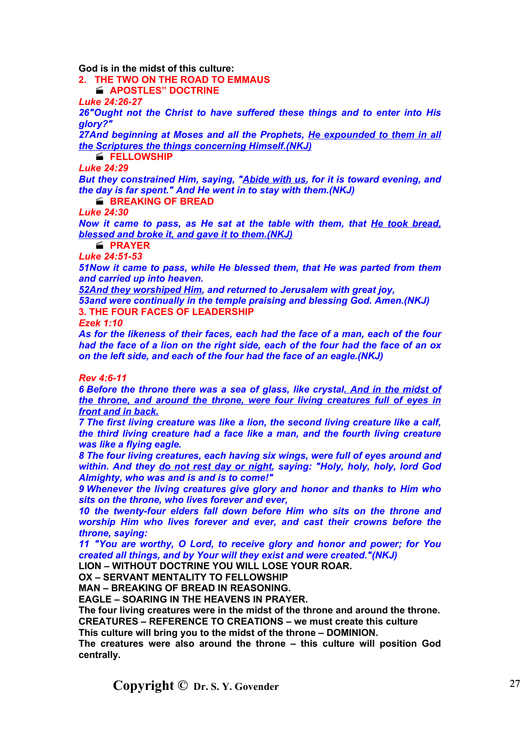**God is in the midst of this culture:**

**2. THE TWO ON THE ROAD TO EMMAUS**

**APOSTLES" DOCTRINE**

*Luke 24:26-27*

*26"Ought not the Christ to have suffered these things and to enter into His glory?"*

*27And beginning at Moses and all the Prophets, He expounded to them in all the Scriptures the things concerning Himself.(NKJ)*

**FELLOWSHIP**

*Luke 24:29*

*But they constrained Him, saying, "Abide with us, for it is toward evening, and the day is far spent." And He went in to stay with them.(NKJ)*

**BREAKING OF BREAD** 

*Luke 24:30*

*Now it came to pass, as He sat at the table with them, that He took bread, blessed and broke it, and gave it to them.(NKJ)*

**PRAYER**

*Luke 24:51-53 51Now it came to pass, while He blessed them, that He was parted from them and carried up into heaven.*

*52And they worshiped Him, and returned to Jerusalem with great joy,*

*53and were continually in the temple praising and blessing God. Amen.(NKJ)* **3. THE FOUR FACES OF LEADERSHIP**

*Ezek 1:10*

*As for the likeness of their faces, each had the face of a man, each of the four had the face of a lion on the right side, each of the four had the face of an ox on the left side, and each of the four had the face of an eagle.(NKJ)*

*Rev 4:6-11*

*6 Before the throne there was a sea of glass, like crystal. And in the midst of the throne, and around the throne, were four living creatures full of eyes in front and in back.*

*7 The first living creature was like a lion, the second living creature like a calf, the third living creature had a face like a man, and the fourth living creature was like a flying eagle.*

*8 The four living creatures, each having six wings, were full of eyes around and within. And they do not rest day or night, saying: "Holy, holy, holy, lord God Almighty, who was and is and is to come!"*

*9 Whenever the living creatures give glory and honor and thanks to Him who sits on the throne, who lives forever and ever,*

*10 the twenty-four elders fall down before Him who sits on the throne and worship Him who lives forever and ever, and cast their crowns before the throne, saying:*

*11 "You are worthy, O Lord, to receive glory and honor and power; for You created all things, and by Your will they exist and were created."(NKJ)*

**LION – WITHOUT DOCTRINE YOU WILL LOSE YOUR ROAR.**

**OX – SERVANT MENTALITY TO FELLOWSHIP**

**MAN – BREAKING OF BREAD IN REASONING.**

**EAGLE – SOARING IN THE HEAVENS IN PRAYER.**

**The four living creatures were in the midst of the throne and around the throne. CREATURES – REFERENCE TO CREATIONS – we must create this culture**

**This culture will bring you to the midst of the throne – DOMINION.**

**The creatures were also around the throne – this culture will position God centrally.**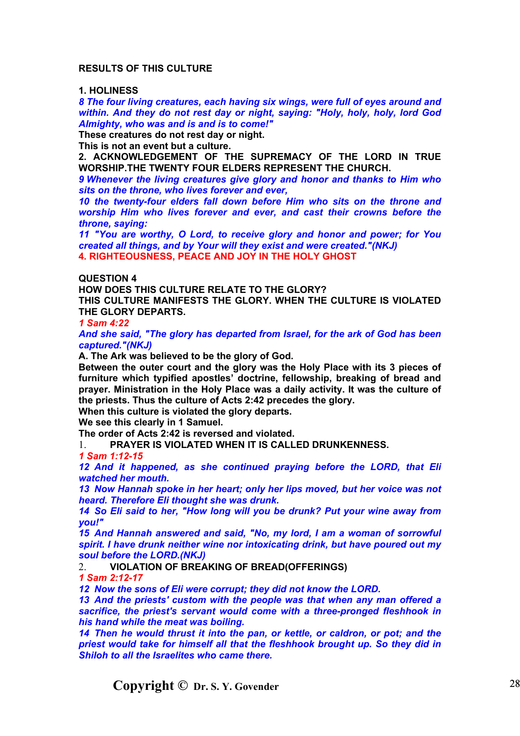## **RESULTS OF THIS CULTURE**

## **1. HOLINESS**

*8 The four living creatures, each having six wings, were full of eyes around and within. And they do not rest day or night, saying: "Holy, holy, holy, lord God Almighty, who was and is and is to come!"*

**These creatures do not rest day or night.**

**This is not an event but a culture.**

**2. ACKNOWLEDGEMENT OF THE SUPREMACY OF THE LORD IN TRUE WORSHIP.THE TWENTY FOUR ELDERS REPRESENT THE CHURCH.**

*9 Whenever the living creatures give glory and honor and thanks to Him who sits on the throne, who lives forever and ever,*

*10 the twenty-four elders fall down before Him who sits on the throne and worship Him who lives forever and ever, and cast their crowns before the throne, saying:*

*11 "You are worthy, O Lord, to receive glory and honor and power; for You created all things, and by Your will they exist and were created."(NKJ)* **4. RIGHTEOUSNESS, PEACE AND JOY IN THE HOLY GHOST**

#### **QUESTION 4**

**HOW DOES THIS CULTURE RELATE TO THE GLORY?**

**THIS CULTURE MANIFESTS THE GLORY. WHEN THE CULTURE IS VIOLATED THE GLORY DEPARTS.**

*1 Sam 4:22*

*And she said, "The glory has departed from Israel, for the ark of God has been captured."(NKJ)*

**A. The Ark was believed to be the glory of God.**

**Between the outer court and the glory was the Holy Place with its 3 pieces of furniture which typified apostles' doctrine, fellowship, breaking of bread and prayer. Ministration in the Holy Place was a daily activity. It was the culture of the priests. Thus the culture of Acts 2:42 precedes the glory.**

**When this culture is violated the glory departs.**

**We see this clearly in 1 Samuel.**

**The order of Acts 2:42 is reversed and violated.**

1. **PRAYER IS VIOLATED WHEN IT IS CALLED DRUNKENNESS.**

*1 Sam 1:12-15*

*12 And it happened, as she continued praying before the LORD, that Eli watched her mouth.*

*13 Now Hannah spoke in her heart; only her lips moved, but her voice was not heard. Therefore Eli thought she was drunk.*

*14 So Eli said to her, "How long will you be drunk? Put your wine away from you!"*

*15 And Hannah answered and said, "No, my lord, I am a woman of sorrowful spirit. I have drunk neither wine nor intoxicating drink, but have poured out my soul before the LORD.(NKJ)*

2. **VIOLATION OF BREAKING OF BREAD(OFFERINGS)**

*1 Sam 2:12-17*

*12 Now the sons of Eli were corrupt; they did not know the LORD.*

*13 And the priests' custom with the people was that when any man offered a sacrifice, the priest's servant would come with a three-pronged fleshhook in his hand while the meat was boiling.*

*14 Then he would thrust it into the pan, or kettle, or caldron, or pot; and the priest would take for himself all that the fleshhook brought up. So they did in Shiloh to all the Israelites who came there.*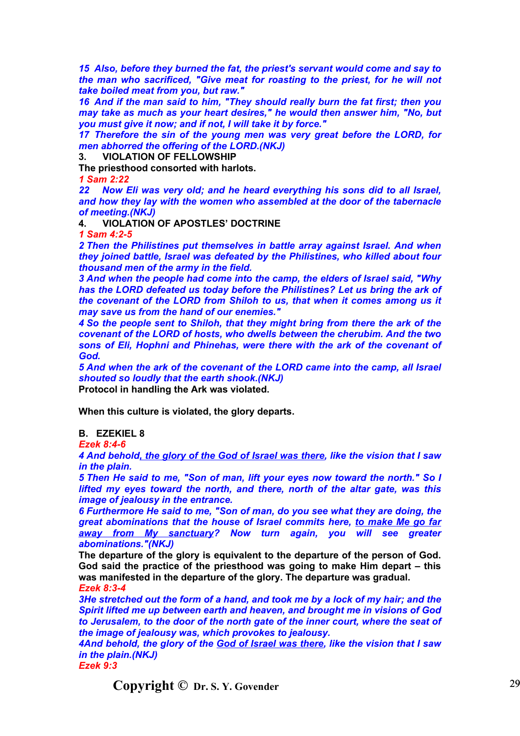*15 Also, before they burned the fat, the priest's servant would come and say to the man who sacrificed, "Give meat for roasting to the priest, for he will not take boiled meat from you, but raw."*

*16 And if the man said to him, "They should really burn the fat first; then you may take as much as your heart desires," he would then answer him, "No, but you must give it now; and if not, I will take it by force."*

*17 Therefore the sin of the young men was very great before the LORD, for men abhorred the offering of the LORD.(NKJ)*

**3. VIOLATION OF FELLOWSHIP**

**The priesthood consorted with harlots.**

*1 Sam 2:22*

*22 Now Eli was very old; and he heard everything his sons did to all Israel, and how they lay with the women who assembled at the door of the tabernacle of meeting.(NKJ)*

**4. VIOLATION OF APOSTLES' DOCTRINE**

*1 Sam 4:2-5*

*2 Then the Philistines put themselves in battle array against Israel. And when they joined battle, Israel was defeated by the Philistines, who killed about four thousand men of the army in the field.*

*3 And when the people had come into the camp, the elders of Israel said, "Why has the LORD defeated us today before the Philistines? Let us bring the ark of the covenant of the LORD from Shiloh to us, that when it comes among us it may save us from the hand of our enemies."*

*4 So the people sent to Shiloh, that they might bring from there the ark of the covenant of the LORD of hosts, who dwells between the cherubim. And the two sons of Eli, Hophni and Phinehas, were there with the ark of the covenant of God.*

*5 And when the ark of the covenant of the LORD came into the camp, all Israel shouted so loudly that the earth shook.(NKJ)*

**Protocol in handling the Ark was violated.**

**When this culture is violated, the glory departs.**

**B. EZEKIEL 8**

*Ezek 8:4-6*

*4 And behold, the glory of the God of Israel was there, like the vision that I saw in the plain.*

*5 Then He said to me, "Son of man, lift your eyes now toward the north." So I lifted my eyes toward the north, and there, north of the altar gate, was this image of jealousy in the entrance.*

*6 Furthermore He said to me, "Son of man, do you see what they are doing, the great abominations that the house of Israel commits here, to make Me go far away from My sanctuary? Now turn again, you will see greater abominations."(NKJ)*

**The departure of the glory is equivalent to the departure of the person of God. God said the practice of the priesthood was going to make Him depart – this was manifested in the departure of the glory. The departure was gradual.**

*Ezek 8:3-4*

*3He stretched out the form of a hand, and took me by a lock of my hair; and the Spirit lifted me up between earth and heaven, and brought me in visions of God to Jerusalem, to the door of the north gate of the inner court, where the seat of the image of jealousy was, which provokes to jealousy.*

*4And behold, the glory of the God of Israel was there, like the vision that I saw in the plain.(NKJ)*

*Ezek 9:3*